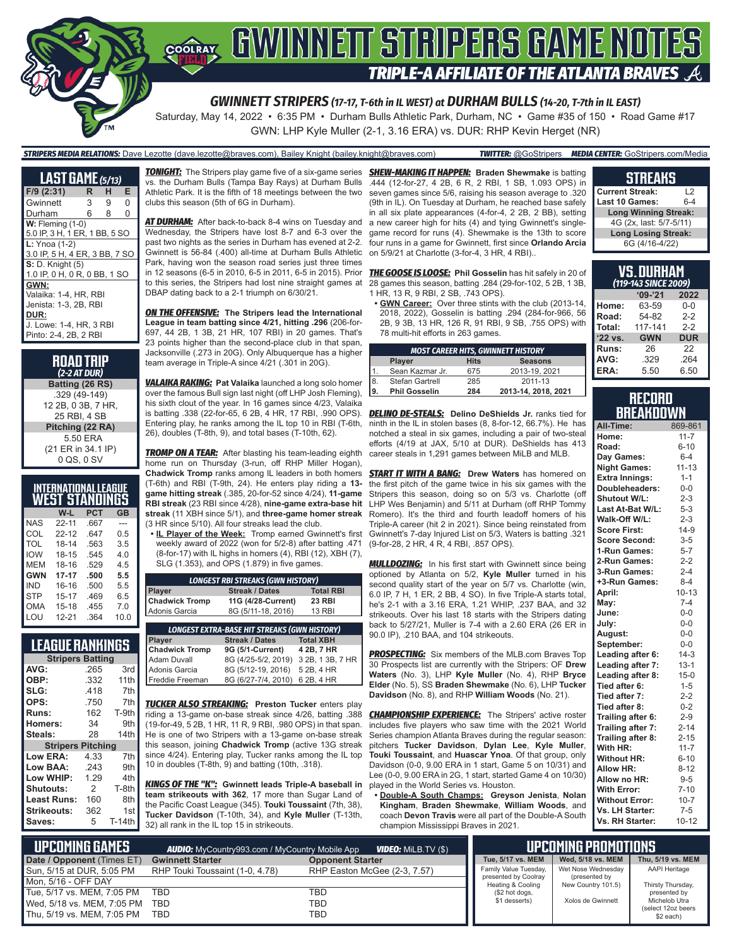

Saturday, May 14, 2022 • 6:35 PM • Durham Bulls Athletic Park, Durham, NC • Game #35 of 150 • Road Game #17 GWN: LHP Kyle Muller (2-1, 3.16 ERA) vs. DUR: RHP Kevin Herget (NR)

#### *STRIPERS MEDIA RELATIONS:* Dave Lezotte (dave.lezotte@braves.com), Bailey Knight (bailey.knight@braves.com) *TWITTER:* @GoStripers *MEDIA CENTER:* GoStripers.com/Media

| <b>LAST GAME</b> (5/13)                          |    |   |   |
|--------------------------------------------------|----|---|---|
| F/9 (2:31)                                       | R. | н | Е |
| Gwinnett                                         | 3  | 9 | 0 |
| Durham                                           | 6  | 8 | 0 |
| $W:$ Fleming $(1-0)$                             |    |   |   |
| 5.0 IP, 3 H, 1 ER, 1 BB, 5 SO                    |    |   |   |
| $L: Ynoa (1-2)$<br>3.0 IP, 5 H, 4 ER, 3 BB, 7 SO |    |   |   |
| <b>S:</b> D. Knight (5)                          |    |   |   |
| 1.0 IP, 0 H, 0 R, 0 BB, 1 SO                     |    |   |   |
| GWN:                                             |    |   |   |
| Valaika: 1-4. HR. RBI                            |    |   |   |
| Jenista: 1-3. 2B. RBI                            |    |   |   |
| DUR:                                             |    |   |   |
| J. Lowe: 1-4, HR, 3 RBI                          |    |   |   |
| Pinto: 2-4, 2B, 2 RBI                            |    |   |   |

**ROAD TRIP** *(2-2 AT DUR)* **Batting (26 RS)** .329 (49-149) 12 2B, 0 3B, 7 HR, 25 RBI, 4 SB **Pitching (22 RA)** 5.50 ERA (21 ER in 34.1 IP) 0 QS, 0 SV

| INTERNATIONAL LEAGUE<br><b>WEST STANDINGS</b> |           |            |     |  |  |  |  |  |  |
|-----------------------------------------------|-----------|------------|-----|--|--|--|--|--|--|
|                                               |           |            |     |  |  |  |  |  |  |
|                                               | W-L       | <b>PCT</b> | GB  |  |  |  |  |  |  |
| <b>NAS</b>                                    | $22 - 11$ | .667       | --- |  |  |  |  |  |  |
| COL                                           | $22 - 12$ | .647       | 0.5 |  |  |  |  |  |  |
| <b>TOL</b>                                    | 18-14     | .563       | 3.5 |  |  |  |  |  |  |

| ◡◡∟        | $22 - 12$ | .041 | U.O  |
|------------|-----------|------|------|
| <b>TOL</b> | 18-14     | .563 | 3.5  |
| <b>IOW</b> | 18-15     | .545 | 4.0  |
| <b>MEM</b> | 18-16     | .529 | 4.5  |
| <b>GWN</b> | $17 - 17$ | .500 | 5.5  |
| <b>IND</b> | $16 - 16$ | .500 | 5.5  |
| <b>STP</b> | $15 - 17$ | .469 | 6.5  |
| <b>OMA</b> | $15 - 18$ | .455 | 7.0  |
| LOU        | 12-21     | .364 | 10.0 |
|            |           |      |      |

**LEAGUE RANKINGS**

| <u>LLAUUL NANNINUJ</u>   |      |        |  |  |  |  |  |  |
|--------------------------|------|--------|--|--|--|--|--|--|
| <b>Stripers Batting</b>  |      |        |  |  |  |  |  |  |
| AVG:                     | .265 | 3rd    |  |  |  |  |  |  |
| OBP:                     | .332 | 11th   |  |  |  |  |  |  |
| SLG:                     | .418 | 7th    |  |  |  |  |  |  |
| OPS:                     | .750 | 7th    |  |  |  |  |  |  |
| Runs:                    | 162  | T-9th  |  |  |  |  |  |  |
| <b>Homers:</b>           | 34   | 9th    |  |  |  |  |  |  |
| Steals:                  | 28   | 14th   |  |  |  |  |  |  |
| <b>Stripers Pitching</b> |      |        |  |  |  |  |  |  |
| Low ERA:                 | 4.33 | 7th    |  |  |  |  |  |  |
| Low BAA:                 | .243 | 9th    |  |  |  |  |  |  |
| Low WHIP:                | 1.29 | 4th    |  |  |  |  |  |  |
| Shutouts:                | 2    | T-8th  |  |  |  |  |  |  |
| Least Runs:              | 160  | 8th    |  |  |  |  |  |  |
| Strikeouts:              | 362  | 1st    |  |  |  |  |  |  |
| Saves:                   | 5    | T-14th |  |  |  |  |  |  |
|                          |      |        |  |  |  |  |  |  |

vs. the Durham Bulls (Tampa Bay Rays) at Durham Bulls Athletic Park. It is the fifth of 18 meetings between the two clubs this season (5th of 6G in Durham).

*AT DURHAM:* After back-to-back 8-4 wins on Tuesday and Wednesday, the Stripers have lost 8-7 and 6-3 over the past two nights as the series in Durham has evened at 2-2. Gwinnett is 56-84 (.400) all-time at Durham Bulls Athletic Park, having won the season road series just three times in 12 seasons (6-5 in 2010, 6-5 in 2011, 6-5 in 2015). Prior to this series, the Stripers had lost nine straight games at DBAP dating back to a 2-1 triumph on 6/30/21.

*ON THE OFFENSIVE:* **The Stripers lead the International League in team batting since 4/21, hitting .296** (206-for-697, 44 2B, 1 3B, 21 HR, 107 RBI) in 20 games. That's 23 points higher than the second-place club in that span, Jacksonville (.273 in 20G). Only Albuquerque has a higher team average in Triple-A since 4/21 (.301 in 20G).

*VALAIKA RAKING:* **Pat Valaika** launched a long solo homer over the famous Bull sign last night (off LHP Josh Fleming), his sixth clout of the year. In 16 games since 4/23, Valaika is batting .338 (22-for-65, 6 2B, 4 HR, 17 RBI, .990 OPS). *DELINO DE-STEALS:* **Delino DeShields Jr.** ranks tied for Entering play, he ranks among the IL top 10 in RBI (T-6th, 26), doubles (T-8th, 9), and total bases (T-10th, 62).

**TROMP ON A TEAR:** After blasting his team-leading eighth home run on Thursday (3-run, off RHP Miller Hogan), **Chadwick Tromp** ranks among IL leaders in both homers (T-6th) and RBI (T-9th, 24). He enters play riding a **13 game hitting streak** (.385, 20-for-52 since 4/24), **11-game RBI streak** (23 RBI since 4/28), **nine-game extra-base hit streak** (11 XBH since 5/1), and **three-game homer streak** (3 HR since 5/10). All four streaks lead the club.

**• IL Player of the Week:** Tromp earned Gwinnett's first weekly award of 2022 (won for 5/2-8) after batting .471 (8-for-17) with IL highs in homers (4), RBI (12), XBH (7), SLG (1.353), and OPS (1.879) in five games.

| <b>LONGEST RBI STREAKS (GWN HISTORY)</b>  |                    |               |  |  |  |  |  |  |
|-------------------------------------------|--------------------|---------------|--|--|--|--|--|--|
| <b>Streak / Dates</b><br><b>Total RBI</b> |                    |               |  |  |  |  |  |  |
| Player<br>Chadwick Tromp                  | 11G (4/28-Current) | <b>23 RBI</b> |  |  |  |  |  |  |
| Adonis Garcia                             | 8G (5/11-18, 2016) | <b>13 RBI</b> |  |  |  |  |  |  |

| <b>LONGEST EXTRA-BASE HIT STREAKS (GWN HISTORY)</b> |                  |  |  |  |  |  |  |  |  |
|-----------------------------------------------------|------------------|--|--|--|--|--|--|--|--|
| <b>Streak / Dates</b>                               | <b>Total XBH</b> |  |  |  |  |  |  |  |  |
| 9G (5/1-Current)                                    | 4 2B, 7 HR       |  |  |  |  |  |  |  |  |
| 8G (4/25-5/2, 2019) 3 2B, 1 3B, 7 HR                |                  |  |  |  |  |  |  |  |  |
| 8G (5/12-19, 2016) 5 2B, 4 HR                       |                  |  |  |  |  |  |  |  |  |
| 8G (6/27-7/4, 2010) 6 2B, 4 HR                      |                  |  |  |  |  |  |  |  |  |
|                                                     |                  |  |  |  |  |  |  |  |  |

*TUCKER ALSO STREAKING:* **Preston Tucker** enters play riding a 13-game on-base streak since 4/26, batting .388 (19-for-49, 5 2B, 1 HR, 11 R, 9 RBI, .980 OPS) in that span. He is one of two Stripers with a 13-game on-base streak this season, joining **Chadwick Tromp** (active 13G streak since 4/24). Entering play, Tucker ranks among the IL top 10 in doubles (T-8th, 9) and batting (10th, .318).

*KINGS OF THE "K":* **Gwinnett leads Triple-A baseball in team strikeouts with 362**, 17 more than Sugar Land of the Pacific Coast League (345). **Touki Toussaint** (7th, 38), **Tucker Davidson** (T-10th, 34), and **Kyle Muller** (T-13th, 32) all rank in the IL top 15 in strikeouts.

*TONIGHT:* The Stripers play game five of a six-game series *SHEW-MAKING IT HAPPEN:* **Braden Shewmake** is batting .444 (12-for-27, 4 2B, 6 R, 2 RBI, 1 SB, 1.093 OPS) in seven games since 5/6, raising his season average to .320 (9th in IL). On Tuesday at Durham, he reached base safely in all six plate appearances (4-for-4, 2 2B, 2 BB), setting a new career high for hits (4) and tying Gwinnett's singlegame record for runs (4). Shewmake is the 13th to score four runs in a game for Gwinnett, first since **Orlando Arcia** on 5/9/21 at Charlotte (3-for-4, 3 HR, 4 RBI)..

> *THE GOOSE IS LOOSE:* **Phil Gosselin** has hit safely in 20 of 28 games this season, batting .284 (29-for-102, 5 2B, 1 3B, 1 HR, 13 R, 9 RBI, 2 SB, .743 OPS).

**• GWN Career:** Over three stints with the club (2013-14, 2018, 2022), Gosselin is batting .294 (284-for-966, 56 2B, 9 3B, 13 HR, 126 R, 91 RBI, 9 SB, .755 OPS) with 78 multi-hit efforts in 263 games.

| <b>MOST CAREER HITS, GWINNETT HISTORY</b> |                      |             |                     |  |  |  |  |  |
|-------------------------------------------|----------------------|-------------|---------------------|--|--|--|--|--|
|                                           | <b>Player</b>        | <b>Hits</b> | <b>Seasons</b>      |  |  |  |  |  |
|                                           | Sean Kazmar Jr.      | 675         | 2013-19, 2021       |  |  |  |  |  |
| 8.                                        | Stefan Gartrell      | 285         | 2011-13             |  |  |  |  |  |
| ١9.                                       | <b>Phil Gosselin</b> | 284         | 2013-14, 2018, 2021 |  |  |  |  |  |

ninth in the IL in stolen bases (8, 8-for-12, 66.7%). He has notched a steal in six games, including a pair of two-steal efforts (4/19 at JAX, 5/10 at DUR). DeShields has 413 career steals in 1,291 games between MiLB and MLB.

**START IT WITH A BANG:** Drew Waters has homered on the first pitch of the game twice in his six games with the Stripers this season, doing so on 5/3 vs. Charlotte (off LHP Wes Benjamin) and 5/11 at Durham (off RHP Tommy Romero). It's the third and fourth leadoff homers of his Triple-A career (hit 2 in 2021). Since being reinstated from Gwinnett's 7-day Injured List on 5/3, Waters is batting .321 (9-for-28, 2 HR, 4 R, 4 RBI, .857 OPS).

**MULLDOZING:** In his first start with Gwinnett since being optioned by Atlanta on 5/2, **Kyle Muller** turned in his second quality start of the year on 5/7 vs. Charlotte (win, 6.0 IP, 7 H, 1 ER, 2 BB, 4 SO). In five Triple-A starts total, he's 2-1 with a 3.16 ERA, 1.21 WHIP, .237 BAA, and 32 strikeouts. Over his last 18 starts with the Stripers dating back to 5/27/21, Muller is 7-4 with a 2.60 ERA (26 ER in 90.0 IP), .210 BAA, and 104 strikeouts.

**PROSPECTING:** Six members of the MLB.com Braves Top 30 Prospects list are currently with the Stripers: OF **Drew Waters** (No. 3), LHP **Kyle Muller** (No. 4), RHP **Bryce Elder** (No. 5), SS **Braden Shewmake** (No. 6), LHP **Tucker Davidson** (No. 8), and RHP **William Woods** (No. 21).

**CHAMPIONSHIP EXPERIENCE:** The Stripers' active roster includes five players who saw time with the 2021 World Series champion Atlanta Braves during the regular season: pitchers **Tucker Davidson**, **Dylan Lee**, **Kyle Muller**, **Touki Toussaint**, and **Huascar Ynoa**. Of that group, only Davidson (0-0, 9.00 ERA in 1 start, Game 5 on 10/31) and Lee (0-0, 9.00 ERA in 2G, 1 start, started Game 4 on 10/30) played in the World Series vs. Houston.

**• Double-A South Champs: Greyson Jenista**, **Nolan Kingham**, **Braden Shewmake**, **William Woods**, and coach **Devon Travis** were all part of the Double-A South champion Mississippi Braves in 2021.

### **STREAKS Current Streak:** L2

| Last 10 Games:              | $6 - 4$ |
|-----------------------------|---------|
| <b>Long Winning Streak:</b> |         |
| 4G (2x, last: 5/7-5/11)     |         |
| <b>Long Losing Streak:</b>  |         |
| 6G (4/16-4/22)              |         |

| VS. Durham<br>(119-143 SINCE 2009) |            |            |  |  |  |  |  |  |
|------------------------------------|------------|------------|--|--|--|--|--|--|
| $9 - 21$<br>2022                   |            |            |  |  |  |  |  |  |
| Home:                              | 63-59      | $0 - 0$    |  |  |  |  |  |  |
| Road:                              | 54-82      | $2-2$      |  |  |  |  |  |  |
| Total:                             | 117-141    | $2-2$      |  |  |  |  |  |  |
| '22 vs.                            | <b>GWN</b> | <b>DUR</b> |  |  |  |  |  |  |
| Runs:                              | 26         | 22         |  |  |  |  |  |  |
| AVG:                               | .329       | .264       |  |  |  |  |  |  |
| ERA:                               | 5.50       | 6.50       |  |  |  |  |  |  |

### **RECORD RRFAKNOWN**

| All-Time:             | 869-861   |
|-----------------------|-----------|
| Home:                 | $11 - 7$  |
| Road:                 | $6 - 10$  |
| Day Games:            | $6 - 4$   |
| <b>Night Games:</b>   | $11 - 13$ |
| <b>Extra Innings:</b> | $1 - 1$   |
| Doubleheaders:        | $0-0$     |
| <b>Shutout W/L:</b>   | $2 - 3$   |
| Last At-Bat W/L:      | $5 - 3$   |
| Walk-Off W/L:         | $2 - 3$   |
| <b>Score First:</b>   | $14-9$    |
| <b>Score Second:</b>  | $3 - 5$   |
| 1-Run Games:          | $5 - 7$   |
| 2-Run Games:          | $2 - 2$   |
| 3-Run Games:          | $2 - 4$   |
| +3-Run Games:         | $8 - 4$   |
| April:                | $10 - 13$ |
| Mav:                  | $7 - 4$   |
| June:                 | $0 - 0$   |
| July:                 | $0 - 0$   |
| August:               | $0-0$     |
| September:            | $0 - 0$   |
| Leading after 6:      | $14-3$    |
| Leading after 7:      | $13 - 1$  |
| Leading after 8:      | $15 - 0$  |
| Tied after 6:         | $1 - 5$   |
| Tied after 7:         | $2 - 2$   |
| Tied after 8:         | $0 - 2$   |
| Trailing after 6:     | $2 - 9$   |
| Trailing after 7:     | $2 - 14$  |
| Trailing after 8:     | $2 - 15$  |
| With HR:              | $11 - 7$  |
| <b>Without HR:</b>    | $6 - 10$  |
| <b>Allow HR:</b>      | $8 - 12$  |
| Allow no HR:          | $9 - 5$   |
| <b>With Error:</b>    | $7 - 10$  |
| <b>Without Error:</b> | $10 - 7$  |
| Vs. LH Starter:       | $7-5$     |
| Vs. RH Starter:       | $10 - 12$ |

| LUPCOMING GAMES I          | <b>AUDIO:</b> MyCountry993.com / MyCountry Mobile App | UPCOMING PROMOTIONS          |                                           |                                     |                                     |
|----------------------------|-------------------------------------------------------|------------------------------|-------------------------------------------|-------------------------------------|-------------------------------------|
| Date / Opponent (Times ET) | <b>Gwinnett Starter</b>                               | <b>Opponent Starter</b>      | Tue, 5/17 vs. MEM                         | Wed. 5/18 vs. MEM                   | Thu, 5/19 vs. MEM                   |
| Sun, 5/15 at DUR, 5:05 PM  | RHP Touki Toussaint (1-0, 4.78)                       | RHP Easton McGee (2-3, 7.57) | Family Value Tuesday,                     | Wet Nose Wednesdav                  | <b>AAPI Heritage</b>                |
| Mon. 5/16 - OFF DAY        |                                                       |                              | presented by Coolray<br>Heating & Cooling | (presented by<br>New Country 101.5) | Thirsty Thursday,                   |
| Tue, 5/17 vs. MEM, 7:05 PM | <b>TBD</b>                                            | TBD                          | (\$2 hot dogs,                            |                                     | presented by                        |
| Wed, 5/18 vs. MEM, 7:05 PM | TBD                                                   | TBD                          | \$1 desserts)                             | Xolos de Gwinnett                   | Michelob Utra<br>(select 12oz beers |
| Thu, 5/19 vs. MEM, 7:05 PM | TBD                                                   | TBD                          |                                           |                                     | \$2 each)                           |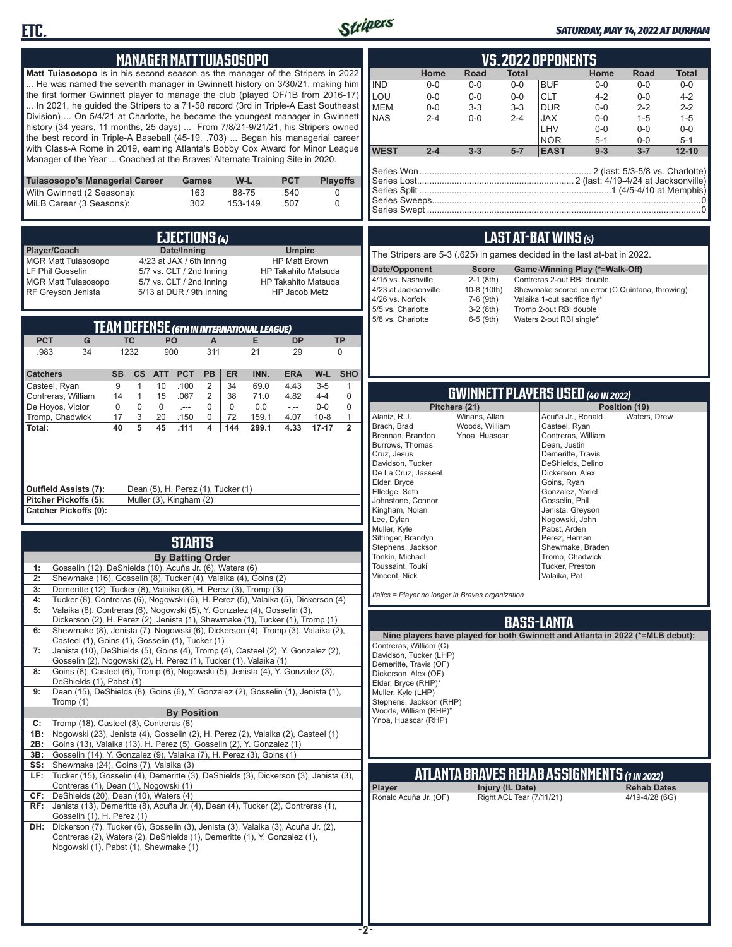



### *SATURDAY, MAY 14, 2022 AT DURHAM*

| Matt Tuiasosopo is in his second season as the manager of the Stripers in 2022<br>He was named the seventh manager in Gwinnett history on 3/30/21, making him<br>the first former Gwinnett player to manage the club (played OF/1B from 2016-17)                                                                                                                                                                          |                                                                                                                                                           | <b>MANAGER MATT TUIASOSOPO</b>                          |                  |                                       |                            |                   | <b>IND</b><br>LOU                       | Home<br>$0-0$<br>$0-0$                           | Road<br>$0-0$<br>$0 - 0$                                                      | Total<br>$0-0$<br>$0-0$     | <b>VS.2022 OPPONENTS</b><br><b>BUF</b><br><b>CLT</b>                                 | Home<br>$0-0$<br>$4 - 2$                        | Road<br>$0-0$<br>$0-0$                          | <b>Total</b><br>$0-0$<br>$4 - 2$                    |
|---------------------------------------------------------------------------------------------------------------------------------------------------------------------------------------------------------------------------------------------------------------------------------------------------------------------------------------------------------------------------------------------------------------------------|-----------------------------------------------------------------------------------------------------------------------------------------------------------|---------------------------------------------------------|------------------|---------------------------------------|----------------------------|-------------------|-----------------------------------------|--------------------------------------------------|-------------------------------------------------------------------------------|-----------------------------|--------------------------------------------------------------------------------------|-------------------------------------------------|-------------------------------------------------|-----------------------------------------------------|
| In 2021, he guided the Stripers to a 71-58 record (3rd in Triple-A East Southeast<br>Division)  On 5/4/21 at Charlotte, he became the youngest manager in Gwinnett<br>history (34 years, 11 months, 25 days)  From 7/8/21-9/21/21, his Stripers owned<br>the best record in Triple-A Baseball (45-19, .703)  Began his managerial career<br>with Class-A Rome in 2019, earning Atlanta's Bobby Cox Award for Minor League |                                                                                                                                                           |                                                         |                  |                                       |                            |                   | <b>MEM</b><br><b>NAS</b><br><b>WEST</b> | $0-0$<br>$2 - 4$<br>$2 - 4$                      | $3 - 3$<br>$0-0$<br>$3 - 3$                                                   | $3 - 3$<br>$2 - 4$<br>$5-7$ | <b>DUR</b><br><b>JAX</b><br>LHV<br><b>NOR</b><br><b>EAST</b>                         | $0-0$<br>$0-0$<br>$0-0$<br>$5 - 1$<br>$9 - 3$   | $2 - 2$<br>$1 - 5$<br>$0-0$<br>$0-0$<br>$3 - 7$ | $2 - 2$<br>$1 - 5$<br>$0-0$<br>$5 - 1$<br>$12 - 10$ |
| Manager of the Year  Coached at the Braves' Alternate Training Site in 2020.<br><b>Tuiasosopo's Managerial Career</b>                                                                                                                                                                                                                                                                                                     |                                                                                                                                                           | <b>Games</b>                                            | W-L              | <b>PCT</b>                            | <b>Playoffs</b>            |                   |                                         |                                                  |                                                                               |                             |                                                                                      |                                                 |                                                 |                                                     |
| With Gwinnett (2 Seasons):<br>MiLB Career (3 Seasons):                                                                                                                                                                                                                                                                                                                                                                    |                                                                                                                                                           | 163<br>302                                              | 88-75<br>153-149 | .540<br>.507                          | 0<br>0                     |                   |                                         |                                                  |                                                                               |                             |                                                                                      |                                                 |                                                 |                                                     |
|                                                                                                                                                                                                                                                                                                                                                                                                                           |                                                                                                                                                           | EJECTIONS (4)                                           |                  |                                       |                            |                   |                                         |                                                  |                                                                               |                             | <b>LAST AT-BAT WINS (5)</b>                                                          |                                                 |                                                 |                                                     |
| Player/Coach<br><b>MGR Matt Tuiasosopo</b>                                                                                                                                                                                                                                                                                                                                                                                |                                                                                                                                                           | Date/Inning<br>4/23 at JAX / 6th Inning                 |                  | <b>Umpire</b><br><b>HP Matt Brown</b> |                            |                   |                                         |                                                  | The Stripers are 5-3 (.625) in games decided in the last at-bat in 2022.      |                             |                                                                                      |                                                 |                                                 |                                                     |
| LF Phil Gosselin                                                                                                                                                                                                                                                                                                                                                                                                          |                                                                                                                                                           | 5/7 vs. CLT / 2nd Inning                                |                  |                                       | <b>HP Takahito Matsuda</b> |                   |                                         | Date/Opponent                                    | <b>Score</b>                                                                  |                             |                                                                                      | Game-Winning Play (*=Walk-Off)                  |                                                 |                                                     |
| <b>MGR Matt Tuiasosopo</b><br>RF Greyson Jenista                                                                                                                                                                                                                                                                                                                                                                          |                                                                                                                                                           | 5/7 vs. CLT / 2nd Inning<br>5/13 at DUR / 9th Inning    |                  | HP Jacob Metz                         | <b>HP Takahito Matsuda</b> |                   | 4/26 vs. Norfolk<br>5/5 vs. Charlotte   | 4/15 vs. Nashville<br>4/23 at Jacksonville       | 2-1 (8th)<br>10-8 (10th)<br>7-6 (9th)<br>$3-2(8th)$                           |                             | Contreras 2-out RBI double<br>Valaika 1-out sacrifice fly*<br>Tromp 2-out RBI double | Shewmake scored on error (C Quintana, throwing) |                                                 |                                                     |
|                                                                                                                                                                                                                                                                                                                                                                                                                           | <b>TEAM DEFENSE (GTH IN INTERNATIONAL LEAGUE)</b>                                                                                                         |                                                         |                  |                                       |                            |                   | 5/8 vs. Charlotte                       |                                                  | $6-5$ (9th)                                                                   |                             | Waters 2-out RBI single*                                                             |                                                 |                                                 |                                                     |
| <b>PCT</b><br>G                                                                                                                                                                                                                                                                                                                                                                                                           | <b>TC</b><br>PO                                                                                                                                           | A                                                       | E.               | <b>DP</b>                             |                            | <b>TP</b>         |                                         |                                                  |                                                                               |                             |                                                                                      |                                                 |                                                 |                                                     |
| .983<br>34                                                                                                                                                                                                                                                                                                                                                                                                                | 1232<br>900                                                                                                                                               | 311                                                     | 21               | 29                                    |                            | $\mathbf 0$       |                                         |                                                  |                                                                               |                             |                                                                                      |                                                 |                                                 |                                                     |
| <b>Catchers</b><br>Casteel, Ryan                                                                                                                                                                                                                                                                                                                                                                                          | <b>SB</b><br><b>CS</b><br><b>ATT</b><br>10<br>9<br>$\mathbf{1}$                                                                                           | <b>PCT</b><br>PB<br><b>ER</b><br>.100<br>2<br>34        | INN.<br>69.0     | <b>ERA</b><br>4.43                    | W-L<br>$3-5$               | <b>SHO</b><br>1   |                                         |                                                  |                                                                               |                             |                                                                                      |                                                 |                                                 |                                                     |
| Contreras, William                                                                                                                                                                                                                                                                                                                                                                                                        | 14<br>$\mathbf{1}$<br>15                                                                                                                                  | $\overline{2}$<br>.067<br>38                            | 71.0             | 4.82                                  | $4 - 4$                    | 0                 |                                         |                                                  | <b>GWINNETT PLAYERS USED (40 IN 2022)</b>                                     |                             |                                                                                      |                                                 |                                                 |                                                     |
| De Hoyos, Victor<br>Tromp, Chadwick                                                                                                                                                                                                                                                                                                                                                                                       | $\mathbf 0$<br>0<br>$\mathbf 0$<br>17<br>3<br>20                                                                                                          | $\mathbf 0$<br>$\mathbf 0$<br>$\sim$<br>.150<br>0<br>72 | 0.0<br>159.1     | $\sim$<br>4.07                        | $0-0$<br>$10 - 8$          | 0<br>$\mathbf{1}$ | Alaniz, R.J.                            |                                                  | Pitchers (21)<br>Winans, Allan                                                |                             | Acuña Jr., Ronald                                                                    |                                                 | Position (19)<br>Waters, Drew                   |                                                     |
| Total:                                                                                                                                                                                                                                                                                                                                                                                                                    | 40<br>5<br>45                                                                                                                                             | .111<br>4<br>144                                        | 299.1            | 4.33                                  | $17 - 17$                  | $\overline{2}$    | Brach, Brad                             | Brennan, Brandon                                 | Woods, William<br>Ynoa, Huascar                                               |                             | Casteel, Ryan<br>Contreras, William                                                  |                                                 |                                                 |                                                     |
|                                                                                                                                                                                                                                                                                                                                                                                                                           |                                                                                                                                                           |                                                         |                  |                                       |                            |                   |                                         | Burrows, Thomas                                  |                                                                               |                             | Dean, Justin                                                                         |                                                 |                                                 |                                                     |
|                                                                                                                                                                                                                                                                                                                                                                                                                           |                                                                                                                                                           |                                                         |                  |                                       |                            |                   | Cruz, Jesus                             | Davidson, Tucker                                 |                                                                               |                             | Demeritte, Travis<br>DeShields, Delino                                               |                                                 |                                                 |                                                     |
|                                                                                                                                                                                                                                                                                                                                                                                                                           |                                                                                                                                                           |                                                         |                  |                                       |                            |                   | Elder, Bryce                            | De La Cruz, Jasseel                              |                                                                               |                             | Dickerson, Alex<br>Goins, Ryan                                                       |                                                 |                                                 |                                                     |
| Outfield Assists (7):<br>Pitcher Pickoffs (5):                                                                                                                                                                                                                                                                                                                                                                            | Muller (3), Kingham (2)                                                                                                                                   | Dean (5), H. Perez (1), Tucker (1)                      |                  |                                       |                            |                   | Elledge, Seth                           | Johnstone, Connor                                |                                                                               |                             | Gonzalez, Yariel<br>Gosselin, Phil                                                   |                                                 |                                                 |                                                     |
| <b>Catcher Pickoffs (0):</b>                                                                                                                                                                                                                                                                                                                                                                                              |                                                                                                                                                           |                                                         |                  |                                       |                            |                   | Kingham, Nolan<br>Lee, Dylan            |                                                  |                                                                               |                             | Jenista, Greyson<br>Nogowski, John                                                   |                                                 |                                                 |                                                     |
|                                                                                                                                                                                                                                                                                                                                                                                                                           |                                                                                                                                                           |                                                         |                  |                                       |                            |                   | Muller, Kyle                            | Sittinger, Brandyn                               |                                                                               |                             | Pabst, Arden<br>Perez, Hernan                                                        |                                                 |                                                 |                                                     |
|                                                                                                                                                                                                                                                                                                                                                                                                                           |                                                                                                                                                           | <b>STARTS</b><br><b>By Batting Order</b>                |                  |                                       |                            |                   | Tonkin, Michael                         | Stephens, Jackson                                |                                                                               |                             | Tromp, Chadwick                                                                      | Shewmake, Braden                                |                                                 |                                                     |
| 1:                                                                                                                                                                                                                                                                                                                                                                                                                        | Gosselin (12), DeShields (10), Acuña Jr. (6), Waters (6)                                                                                                  |                                                         |                  |                                       |                            |                   | Toussaint, Touki                        |                                                  |                                                                               |                             | Tucker, Preston                                                                      |                                                 |                                                 |                                                     |
| 2:<br>3:                                                                                                                                                                                                                                                                                                                                                                                                                  | Shewmake (16), Gosselin (8), Tucker (4), Valaika (4), Goins (2)<br>Demeritte (12), Tucker (8), Valaika (8), H. Perez (3), Tromp (3)                       |                                                         |                  |                                       |                            |                   | Vincent, Nick                           |                                                  |                                                                               |                             | Valaika, Pat                                                                         |                                                 |                                                 |                                                     |
| 4:                                                                                                                                                                                                                                                                                                                                                                                                                        | Tucker (8), Contreras (6), Nogowski (6), H. Perez (5), Valaika (5), Dickerson (4)                                                                         |                                                         |                  |                                       |                            |                   |                                         |                                                  | Italics = Player no longer in Braves organization                             |                             |                                                                                      |                                                 |                                                 |                                                     |
| 5:                                                                                                                                                                                                                                                                                                                                                                                                                        | Valaika (8), Contreras (6), Nogowski (5), Y. Gonzalez (4), Gosselin (3),<br>Dickerson (2), H. Perez (2), Jenista (1), Shewmake (1), Tucker (1), Tromp (1) |                                                         |                  |                                       |                            |                   |                                         |                                                  |                                                                               |                             | <b>BASS-LANTA</b>                                                                    |                                                 |                                                 |                                                     |
| 6:                                                                                                                                                                                                                                                                                                                                                                                                                        | Shewmake (8), Jenista (7), Nogowski (6), Dickerson (4), Tromp (3), Valaika (2),<br>Casteel (1), Goins (1), Gosselin (1), Tucker (1)                       |                                                         |                  |                                       |                            |                   |                                         |                                                  | Nine players have played for both Gwinnett and Atlanta in 2022 (*=MLB debut): |                             |                                                                                      |                                                 |                                                 |                                                     |
| 7:                                                                                                                                                                                                                                                                                                                                                                                                                        | Jenista (10), DeShields (5), Goins (4), Tromp (4), Casteel (2), Y. Gonzalez (2),                                                                          |                                                         |                  |                                       |                            |                   |                                         | Contreras, William (C)<br>Davidson, Tucker (LHP) |                                                                               |                             |                                                                                      |                                                 |                                                 |                                                     |
| 8:                                                                                                                                                                                                                                                                                                                                                                                                                        | Gosselin (2), Nogowski (2), H. Perez (1), Tucker (1), Valaika (1)<br>Goins (8), Casteel (6), Tromp (6), Nogowski (5), Jenista (4), Y. Gonzalez (3),       |                                                         |                  |                                       |                            |                   |                                         | Demeritte, Travis (OF)<br>Dickerson, Alex (OF)   |                                                                               |                             |                                                                                      |                                                 |                                                 |                                                     |
| DeShields (1), Pabst (1)<br>9:                                                                                                                                                                                                                                                                                                                                                                                            | Dean (15), DeShields (8), Goins (6), Y. Gonzalez (2), Gosselin (1), Jenista (1),                                                                          |                                                         |                  |                                       |                            |                   |                                         | Elder, Bryce (RHP)*<br>Muller, Kyle (LHP)        |                                                                               |                             |                                                                                      |                                                 |                                                 |                                                     |
| Tromp (1)                                                                                                                                                                                                                                                                                                                                                                                                                 |                                                                                                                                                           |                                                         |                  |                                       |                            |                   |                                         | Stephens, Jackson (RHP)                          |                                                                               |                             |                                                                                      |                                                 |                                                 |                                                     |
| C:                                                                                                                                                                                                                                                                                                                                                                                                                        | Tromp (18), Casteel (8), Contreras (8)                                                                                                                    | <b>By Position</b>                                      |                  |                                       |                            |                   |                                         | Woods, William (RHP)*<br>Ynoa, Huascar (RHP)     |                                                                               |                             |                                                                                      |                                                 |                                                 |                                                     |
| 1B:                                                                                                                                                                                                                                                                                                                                                                                                                       | Nogowski (23), Jenista (4), Gosselin (2), H. Perez (2), Valaika (2), Casteel (1)                                                                          |                                                         |                  |                                       |                            |                   |                                         |                                                  |                                                                               |                             |                                                                                      |                                                 |                                                 |                                                     |
| 2B:<br>3B:                                                                                                                                                                                                                                                                                                                                                                                                                | Goins (13), Valaika (13), H. Perez (5), Gosselin (2), Y. Gonzalez (1)<br>Gosselin (14), Y. Gonzalez (9), Valaika (7), H. Perez (3), Goins (1)             |                                                         |                  |                                       |                            |                   |                                         |                                                  |                                                                               |                             |                                                                                      |                                                 |                                                 |                                                     |
| SS:<br>LF: Tucker (15), Gosselin (4), Demeritte (3), DeShields (3), Dickerson (3), Jenista (3),                                                                                                                                                                                                                                                                                                                           | Shewmake (24), Goins (7), Valaika (3)                                                                                                                     |                                                         |                  |                                       |                            |                   |                                         |                                                  | <b>ATLANTA BRAVES REHAB ASSIGNMENTS (1 IN 2022)</b>                           |                             |                                                                                      |                                                 |                                                 |                                                     |
|                                                                                                                                                                                                                                                                                                                                                                                                                           | Contreras (1), Dean (1), Nogowski (1)                                                                                                                     |                                                         |                  |                                       |                            |                   | Player                                  |                                                  |                                                                               | Injury (IL Date)            |                                                                                      |                                                 | <b>Rehab Dates</b>                              |                                                     |
| CF:<br>RF: Jenista (13), Demeritte (8), Acuña Jr. (4), Dean (4), Tucker (2), Contreras (1),                                                                                                                                                                                                                                                                                                                               | DeShields (20), Dean (10), Waters (4)                                                                                                                     |                                                         |                  |                                       |                            |                   |                                         | Ronald Acuña Jr. (OF)                            |                                                                               | Right ACL Tear (7/11/21)    |                                                                                      |                                                 | 4/19-4/28 (6G)                                  |                                                     |
| Gosselin (1), H. Perez (1)<br>DH: Dickerson (7), Tucker (6), Gosselin (3), Jenista (3), Valaika (3), Acuña Jr. (2),                                                                                                                                                                                                                                                                                                       | Contreras (2), Waters (2), DeShields (1), Demeritte (1), Y. Gonzalez (1),                                                                                 |                                                         |                  |                                       |                            |                   |                                         |                                                  |                                                                               |                             |                                                                                      |                                                 |                                                 |                                                     |
|                                                                                                                                                                                                                                                                                                                                                                                                                           | Nogowski (1), Pabst (1), Shewmake (1)                                                                                                                     |                                                         |                  |                                       |                            |                   |                                         |                                                  |                                                                               |                             |                                                                                      |                                                 |                                                 |                                                     |
|                                                                                                                                                                                                                                                                                                                                                                                                                           |                                                                                                                                                           |                                                         |                  |                                       |                            |                   |                                         |                                                  |                                                                               |                             |                                                                                      |                                                 |                                                 |                                                     |
|                                                                                                                                                                                                                                                                                                                                                                                                                           |                                                                                                                                                           |                                                         |                  |                                       |                            |                   |                                         |                                                  |                                                                               |                             |                                                                                      |                                                 |                                                 |                                                     |
|                                                                                                                                                                                                                                                                                                                                                                                                                           |                                                                                                                                                           |                                                         |                  |                                       |                            |                   |                                         |                                                  |                                                                               |                             |                                                                                      |                                                 |                                                 |                                                     |
|                                                                                                                                                                                                                                                                                                                                                                                                                           |                                                                                                                                                           |                                                         |                  |                                       |                            |                   |                                         |                                                  |                                                                               |                             |                                                                                      |                                                 |                                                 |                                                     |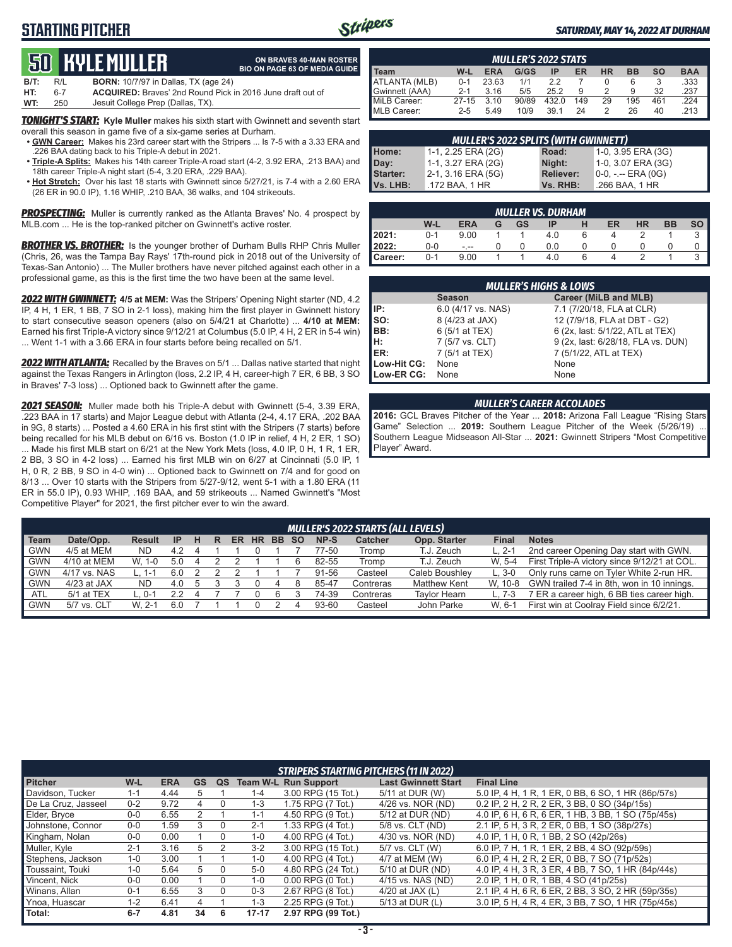### **STARTING PITCHER**



**ON BRAVES 40-MAN ROSTER**

### *SATURDAY, MAY 14, 2022 AT DURHAM*

# **50****KYLE Muller**

|      |     | QU HIYLL MULLLII                                                  | <b>BIO ON PAGE 63 OF MEDIA GUIDE</b> |
|------|-----|-------------------------------------------------------------------|--------------------------------------|
| B/T: | R/L | <b>BORN:</b> 10/7/97 in Dallas, TX (age 24)                       |                                      |
| HT:  | 6-7 | <b>ACQUIRED:</b> Braves' 2nd Round Pick in 2016 June draft out of |                                      |
| WT:  | 250 | Jesuit College Prep (Dallas, TX).                                 |                                      |

*TONIGHT'S START:* **Kyle Muller** makes his sixth start with Gwinnett and seventh start overall this season in game five of a six-game series at Durham.

- **• GWN Career:** Makes his 23rd career start with the Stripers ... Is 7-5 with a 3.33 ERA and .226 BAA dating back to his Triple-A debut in 2021.
- **• Triple-A Splits:** Makes his 14th career Triple-A road start (4-2, 3.92 ERA, .213 BAA) and 18th career Triple-A night start (5-4, 3.20 ERA, .229 BAA).
- **• Hot Stretch:** Over his last 18 starts with Gwinnett since 5/27/21, is 7-4 with a 2.60 ERA (26 ER in 90.0 IP), 1.16 WHIP, .210 BAA, 36 walks, and 104 strikeouts.

**PROSPECTING:** Muller is currently ranked as the Atlanta Braves' No. 4 prospect by MLB.com ... He is the top-ranked pitcher on Gwinnett's active roster.

**BROTHER VS. BROTHER:** Is the younger brother of Durham Bulls RHP Chris Muller (Chris, 26, was the Tampa Bay Rays' 17th-round pick in 2018 out of the University of Texas-San Antonio) ... The Muller brothers have never pitched against each other in a professional game, as this is the first time the two have been at the same level.

*2022 WITH GWINNETT:* **4/5 at MEM:** Was the Stripers' Opening Night starter (ND, 4.2 IP, 4 H, 1 ER, 1 BB, 7 SO in 2-1 loss), making him the first player in Gwinnett history to start consecutive season openers (also on 5/4/21 at Charlotte) ... **4/10 at MEM:** Earned his first Triple-A victory since 9/12/21 at Columbus (5.0 IP, 4 H, 2 ER in 5-4 win) ... Went 1-1 with a 3.66 ERA in four starts before being recalled on 5/1.

2022 WITH ATLANTA: Recalled by the Braves on 5/1 ... Dallas native started that night against the Texas Rangers in Arlington (loss, 2.2 IP, 4 H, career-high 7 ER, 6 BB, 3 SO in Braves' 7-3 loss) ... Optioned back to Gwinnett after the game.

*2021 SEASON:* Muller made both his Triple-A debut with Gwinnett (5-4, 3.39 ERA, .223 BAA in 17 starts) and Major League debut with Atlanta (2-4, 4.17 ERA, .202 BAA in 9G, 8 starts) ... Posted a 4.60 ERA in his first stint with the Stripers (7 starts) before being recalled for his MLB debut on 6/16 vs. Boston (1.0 IP in relief, 4 H, 2 ER, 1 SO) ... Made his first MLB start on 6/21 at the New York Mets (loss, 4.0 IP, 0 H, 1 R, 1 ER, 2 BB, 3 SO in 4-2 loss) ... Earned his first MLB win on 6/27 at Cincinnati (5.0 IP, 1 H, 0 R, 2 BB, 9 SO in 4-0 win) ... Optioned back to Gwinnett on 7/4 and for good on 8/13 ... Over 10 starts with the Stripers from 5/27-9/12, went 5-1 with a 1.80 ERA (11 ER in 55.0 IP), 0.93 WHIP, .169 BAA, and 59 strikeouts ... Named Gwinnett's "Most Competitive Player" for 2021, the first pitcher ever to win the award.

| <b>MULLER'S 2022 STATS</b> |           |            |       |       |     |           |           |           |            |  |  |
|----------------------------|-----------|------------|-------|-------|-----|-----------|-----------|-----------|------------|--|--|
| I Team                     | W-L       | <b>ERA</b> | G/GS  | ΙP    | ER  | <b>HR</b> | <b>BB</b> | <b>SO</b> | <b>BAA</b> |  |  |
| ATLANTA (MLB)              | $0 - 1$   | 23.63      | 1/1   | 2.2   |     |           | 6         |           | .333       |  |  |
| Gwinnett (AAA)             | $2 - 1$   | 3.16       | 5/5   | 25.2  | 9   |           | 9         | 32        | .237       |  |  |
| MiLB Career:               | $27 - 15$ | 3.10       | 90/89 | 432.0 | 149 | 29        | 195       | 461       | 224        |  |  |
| MLB Career:                | $2 - 5$   | 5.49       | 10/9  | 39.1  | 24  |           | 26        | 40        | .213       |  |  |

| <b>MULLER'S 2022 SPLITS (WITH GWINNETT)</b> |                    |                  |                       |  |  |  |  |  |  |  |
|---------------------------------------------|--------------------|------------------|-----------------------|--|--|--|--|--|--|--|
| Home:                                       | 1-1, 2.25 ERA (2G) | Road:            | 1-0, 3.95 ERA (3G)    |  |  |  |  |  |  |  |
| Day:                                        | 1-1, 3.27 ERA (2G) | Night:           | 1-0, 3.07 ERA (3G)    |  |  |  |  |  |  |  |
| Starter:                                    | 2-1, 3.16 ERA (5G) | <b>Reliever:</b> | $0-0, - -$ ERA $(0G)$ |  |  |  |  |  |  |  |
| Vs. LHB:                                    | .172 BAA, 1 HR     | Vs. RHB:         | .266 BAA, 1 HR        |  |  |  |  |  |  |  |

| MULLER VS. DURHAM' |         |            |   |    |     |  |    |           |           |      |  |  |
|--------------------|---------|------------|---|----|-----|--|----|-----------|-----------|------|--|--|
|                    | W-L     | <b>ERA</b> | G | GS | IP  |  | ER | <b>HR</b> | <b>BB</b> | so l |  |  |
| 12021:             | $0 - 1$ | 9.00       |   |    | 4.0 |  |    |           |           |      |  |  |
| 2022:              | $0-0$   | - --       |   |    | 0.0 |  |    |           |           | 0    |  |  |
| Career:            | $0 - 1$ | 9.00       |   |    | 4.0 |  |    |           |           |      |  |  |

|                               | <b>MULLER'S HIGHS &amp; LOWS</b> |                                    |  |  |  |  |  |  |  |  |  |
|-------------------------------|----------------------------------|------------------------------------|--|--|--|--|--|--|--|--|--|
|                               | <b>Season</b>                    | Career (MiLB and MLB)              |  |  |  |  |  |  |  |  |  |
| IP:                           | 6.0 (4/17 vs. NAS)               | 7.1 (7/20/18, FLA at CLR)          |  |  |  |  |  |  |  |  |  |
|                               | 8 (4/23 at JAX)                  | 12 (7/9/18, FLA at DBT - G2)       |  |  |  |  |  |  |  |  |  |
|                               | 6 (5/1 at TEX)                   | 6 (2x, last: 5/1/22, ATL at TEX)   |  |  |  |  |  |  |  |  |  |
| $\left  \frac{H}{ER} \right $ | 7 (5/7 vs. CLT)                  | 9 (2x, last: 6/28/18, FLA vs. DUN) |  |  |  |  |  |  |  |  |  |
|                               | 7 (5/1 at TEX)                   | 7 (5/1/22, ATL at TEX)             |  |  |  |  |  |  |  |  |  |
| Low-Hit CG:                   | None                             | None                               |  |  |  |  |  |  |  |  |  |
| Low-ER CG:                    | None                             | None                               |  |  |  |  |  |  |  |  |  |

### *MULLER'S CAREER ACCOLADES*

**2016:** GCL Braves Pitcher of the Year ... **2018:** Arizona Fall League "Rising Stars Game" Selection ... **2019:** Southern League Pitcher of the Week (5/26/19) ... Southern League Midseason All-Star ... **2021:** Gwinnett Stripers "Most Competitive Player" Award.

|            | <b>MULLER'S 2022 STARTS (ALL LEVELS)</b> |               |     |  |   |    |           |           |           |       |                |                     |          |                                              |
|------------|------------------------------------------|---------------|-----|--|---|----|-----------|-----------|-----------|-------|----------------|---------------------|----------|----------------------------------------------|
| Team       | Date/Opp.                                | <b>Result</b> | -IP |  | R | ER | <b>HR</b> | <b>BB</b> | <b>SO</b> | NP-S  | <b>Catcher</b> | Opp. Starter        | Final    | <b>Notes</b>                                 |
| <b>GWN</b> | 4/5 at MEM                               | ND.           | 4.2 |  |   |    |           |           |           | 77-50 | Tromp          | T.J. Zeuch          | $L. 2-1$ | 2nd career Opening Day start with GWN.       |
| <b>GWN</b> | 4/10 at MEM                              | W. 1-0        | 5.0 |  |   |    |           |           |           | 82-55 | Tromp          | T.J. Zeuch          | W. 5-4   | First Triple-A victory since 9/12/21 at COL. |
| <b>GWN</b> | 4/17 vs. NAS                             |               | 6.0 |  |   |    |           |           |           | 91-56 | Casteel        | Caleb Boushley      | $L.3-0$  | Only runs came on Tyler White 2-run HR.      |
| <b>GWN</b> | $4/23$ at JAX                            | <b>ND</b>     | 4.0 |  |   |    |           |           |           | 85-47 | Contreras      | <b>Matthew Kent</b> | W. 10-8  | GWN trailed 7-4 in 8th, won in 10 innings.   |
| <b>ATL</b> | 5/1 at TEX                               | $-0.1$        |     |  |   |    |           |           |           | 74-39 | Contreras      | <b>Tavlor Hearn</b> | $L.7-3$  | 7 ER a career high, 6 BB ties career high.   |
| <b>GWN</b> | 5/7 vs. CLT                              | W. 2-1        | 6.0 |  |   |    |           |           |           | 93-60 | Casteel        | John Parke          | W. 6-1   | First win at Coolray Field since 6/2/21.     |
|            |                                          |               |     |  |   |    |           |           |           |       |                |                     |          |                                              |

|                     | <b>STRIPERS STARTING PITCHERS (11 IN 2022)</b> |            |    |    |           |                             |                            |                                                    |  |  |  |  |
|---------------------|------------------------------------------------|------------|----|----|-----------|-----------------------------|----------------------------|----------------------------------------------------|--|--|--|--|
| <b>Pitcher</b>      | W-L                                            | <b>ERA</b> | GS | QS |           | <b>Team W-L Run Support</b> | <b>Last Gwinnett Start</b> | <b>Final Line</b>                                  |  |  |  |  |
| Davidson, Tucker    | $1 - 1$                                        | 4.44       | 5  |    | $1 - 4$   | 3.00 RPG (15 Tot.)          | 5/11 at DUR (W)            | 5.0 IP, 4 H, 1 R, 1 ER, 0 BB, 6 SO, 1 HR (86p/57s) |  |  |  |  |
| De La Cruz, Jasseel | $0 - 2$                                        | 9.72       | 4  | 0  | $1 - 3$   | 1.75 RPG (7 Tot.)           | 4/26 vs. NOR (ND)          | 0.2 IP, 2 H, 2 R, 2 ER, 3 BB, 0 SO (34p/15s)       |  |  |  |  |
| Elder, Bryce        | $0-0$                                          | 6.55       |    |    | $1 - 1$   | 4.50 RPG (9 Tot.)           | 5/12 at DUR (ND)           | 4.0 IP, 6 H, 6 R, 6 ER, 1 HB, 3 BB, 1 SO (75p/45s) |  |  |  |  |
| Johnstone, Connor   | $0 - 0$                                        | .59        |    |    | $2 - 1$   | 1.33 RPG (4 Tot.)           | 5/8 vs. CLT (ND)           | 2.1 IP, 5 H, 3 R, 2 ER, 0 BB, 1 SO (38p/27s)       |  |  |  |  |
| Kingham, Nolan      | $0 - 0$                                        | 0.00       |    | 0  | $1 - 0$   | 4.00 RPG (4 Tot.)           | 4/30 vs. NOR (ND)          | 4.0 IP, 1 H, 0 R, 1 BB, 2 SO (42p/26s)             |  |  |  |  |
| Muller, Kyle        | $2 - 1$                                        | 3.16       | 5  |    | $3 - 2$   | 3.00 RPG (15 Tot.)          | 5/7 vs. CLT (W)            | 6.0 IP, 7 H, 1 R, 1 ER, 2 BB, 4 SO (92p/59s)       |  |  |  |  |
| Stephens, Jackson   | $1-0$                                          | 3.00       |    |    | $1 - 0$   | 4.00 RPG (4 Tot.)           | 4/7 at MEM (W)             | 6.0 IP, 4 H, 2 R, 2 ER, 0 BB, 7 SO (71p/52s)       |  |  |  |  |
| Toussaint, Touki    | $1 - 0$                                        | 5.64       | 5  |    | $5-0$     | 4.80 RPG (24 Tot.)          | 5/10 at DUR (ND)           | 4.0 IP, 4 H, 3 R, 3 ER, 4 BB, 7 SO, 1 HR (84p/44s) |  |  |  |  |
| Vincent, Nick       | $0 - 0$                                        | 0.00       |    |    | $1 - 0$   | $0.00$ RPG $(0$ Tot.)       | 4/15 vs. NAS (ND)          | 2.0 IP, 1 H, 0 R, 1 BB, 4 SO (41p/25s)             |  |  |  |  |
| Winans, Allan       | $0 - 1$                                        | 6.55       | 3  |    | $0 - 3$   | 2.67 RPG (8 Tot.)           | 4/20 at JAX $(L)$          | 2.1 IP, 4 H, 6 R, 6 ER, 2 BB, 3 SO, 2 HR (59p/35s) |  |  |  |  |
| Ynoa, Huascar       | $1 - 2$                                        | 6.41       | 4  |    | $1 - 3$   | 2.25 RPG (9 Tot.)           | 5/13 at DUR (L)            | 3.0 IP, 5 H, 4 R, 4 ER, 3 BB, 7 SO, 1 HR (75p/45s) |  |  |  |  |
| Total:              | $6 - 7$                                        | 4.81       | 34 | 6  | $17 - 17$ | 2.97 RPG (99 Tot.)          |                            |                                                    |  |  |  |  |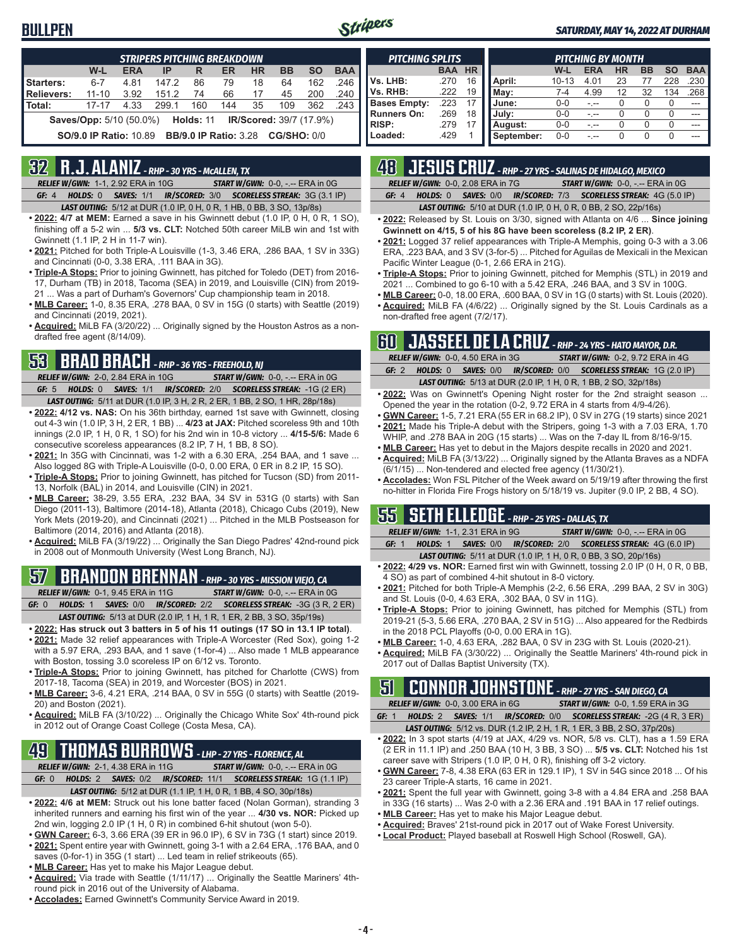### **BULLPEN**



### *SATURDAY, MAY 14, 2022 AT DURHAM*

| <b>STRIPERS PITCHING BREAKDOWN</b>                                                   |                               |            |       |                              |     |           |             |           |            |  |  |
|--------------------------------------------------------------------------------------|-------------------------------|------------|-------|------------------------------|-----|-----------|-------------|-----------|------------|--|--|
|                                                                                      | W-L                           | <b>ERA</b> | IP    | R                            | ER  | <b>HR</b> | <b>BB</b>   | <b>SO</b> | <b>BAA</b> |  |  |
| Starters:                                                                            | $6 - 7$                       | 4.81       | 147.2 | 86                           | 79  | 18        | 64          | 162       | 246        |  |  |
| Relievers:                                                                           | $11 - 10$                     | 3.92       | 151.2 | 74                           | 66  | 17        | 45          | 200       | .240       |  |  |
| l Total:                                                                             | $17 - 17$                     | 4.33       | 299.1 | 160                          | 144 | 35        | 109         | 362       | 243        |  |  |
| <b>Saves/Opp:</b> 5/10 (50.0%)<br><b>IR/Scored: 39/7 (17.9%)</b><br><b>Holds: 11</b> |                               |            |       |                              |     |           |             |           |            |  |  |
|                                                                                      | <b>SO/9.0 IP Ratio: 10.89</b> |            |       | <b>BB/9.0 IP Ratio: 3.28</b> |     |           | CG/SHO: 0/0 |           |            |  |  |

### **32 R.J. ALANIZ** *- RHP - 30 YRS - McALLEN, TX*

*RELIEF W/GWN:*1-1, 2.92 ERA in 10G *START W/GWN:*0-0, -.-- ERA in 0G *GF:*4 *HOLDS:*0 *SAVES:*1/1 *IR/SCORED:*3/0 *SCORELESS STREAK:*3G (3.1 IP)

*LAST OUTING:*5/12 at DUR (1.0 IP, 0 H, 0 R, 1 HB, 0 BB, 3 SO, 13p/8s)

- **• 2022: 4/7 at MEM:** Earned a save in his Gwinnett debut (1.0 IP, 0 H, 0 R, 1 SO), finishing off a 5-2 win ... **5/3 vs. CLT:** Notched 50th career MiLB win and 1st with Gwinnett (1.1 IP, 2 H in 11-7 win).
- **• 2021:** Pitched for both Triple-A Louisville (1-3, 3.46 ERA, .286 BAA, 1 SV in 33G) and Cincinnati (0-0, 3.38 ERA, .111 BAA in 3G).
- **• Triple-A Stops:** Prior to joining Gwinnett, has pitched for Toledo (DET) from 2016- 17, Durham (TB) in 2018, Tacoma (SEA) in 2019, and Louisville (CIN) from 2019- 21 ... Was a part of Durham's Governors' Cup championship team in 2018.
- **• MLB Career:** 1-0, 8.35 ERA, .278 BAA, 0 SV in 15G (0 starts) with Seattle (2019) and Cincinnati (2019, 2021).
- **• Acquired:** MiLB FA (3/20/22) ... Originally signed by the Houston Astros as a nondrafted free agent (8/14/09).

## **53 BRAD BRACH** *- RHP - 36 YRS - FREEHOLD, NJ*

*RELIEF W/GWN:*2-0, 2.84 ERA in 10G *START W/GWN:*0-0, -.-- ERA in 0G *GF:*5 *HOLDS:*0 *SAVES:*1/1 *IR/SCORED:*2/0 *SCORELESS STREAK:*-1G (2 ER)

- *LAST OUTING:*5/11 at DUR (1.0 IP, 3 H, 2 R, 2 ER, 1 BB, 2 SO, 1 HR, 28p/18s) **• 2022: 4/12 vs. NAS:** On his 36th birthday, earned 1st save with Gwinnett, closing out 4-3 win (1.0 IP, 3 H, 2 ER, 1 BB) ... **4/23 at JAX:** Pitched scoreless 9th and 10th innings (2.0 IP, 1 H, 0 R, 1 SO) for his 2nd win in 10-8 victory ... **4/15-5/6:** Made 6 consecutive scoreless appearances (8.2 IP, 7 H, 1 BB, 8 SO).
- **• 2021:** In 35G with Cincinnati, was 1-2 with a 6.30 ERA, .254 BAA, and 1 save ... Also logged 8G with Triple-A Louisville (0-0, 0.00 ERA, 0 ER in 8.2 IP, 15 SO).
- **• Triple-A Stops:** Prior to joining Gwinnett, has pitched for Tucson (SD) from 2011- 13, Norfolk (BAL) in 2014, and Louisville (CIN) in 2021.
- **• MLB Career:** 38-29, 3.55 ERA, .232 BAA, 34 SV in 531G (0 starts) with San Diego (2011-13), Baltimore (2014-18), Atlanta (2018), Chicago Cubs (2019), New York Mets (2019-20), and Cincinnati (2021) ... Pitched in the MLB Postseason for Baltimore (2014, 2016) and Atlanta (2018).
- **• Acquired:** MiLB FA (3/19/22) ... Originally the San Diego Padres' 42nd-round pick in 2008 out of Monmouth University (West Long Branch, NJ).

# **57 BRANDON BRENNAN** *- RHP - 30 YRS - MISSION VIEJO, CA*

*RELIEF W/GWN:*0-1, 9.45 ERA in 11G *START W/GWN:*0-0, -.-- ERA in 0G *GF:*0 *HOLDS:*1 *SAVES:*0/0 *IR/SCORED:*2/2 *SCORELESS STREAK:*-3G (3 R, 2 ER)

- *LAST OUTING:*5/13 at DUR (2.0 IP, 1 H, 1 R, 1 ER, 2 BB, 3 SO, 35p/19s)
- **• 2022: Has struck out 3 batters in 5 of his 11 outings (17 SO in 13.1 IP total)**. **• 2021:** Made 32 relief appearances with Triple-A Worcester (Red Sox), going 1-2 with a 5.97 ERA, .293 BAA, and 1 save (1-for-4) ... Also made 1 MLB appearance
- with Boston, tossing 3.0 scoreless IP on 6/12 vs. Toronto. **• Triple-A Stops:** Prior to joining Gwinnett, has pitched for Charlotte (CWS) from
- 2017-18, Tacoma (SEA) in 2019, and Worcester (BOS) in 2021. **• MLB Career:** 3-6, 4.21 ERA, .214 BAA, 0 SV in 55G (0 starts) with Seattle (2019-
- 20) and Boston (2021).
- **• Acquired:** MiLB FA (3/10/22) ... Originally the Chicago White Sox' 4th-round pick in 2012 out of Orange Coast College (Costa Mesa, CA).

# **49 THOMAS BURROWS** *- LHP - 27 YRS - FLORENCE, AL*

*RELIEF W/GWN:*2-1, 4.38 ERA in 11G *START W/GWN:*0-0, -.-- ERA in 0G

- *GF:*0 *HOLDS:*2 *SAVES:*0/2 *IR/SCORED:*11/1 *SCORELESS STREAK:*1G (1.1 IP) *LAST OUTING:*5/12 at DUR (1.1 IP, 1 H, 0 R, 1 BB, 4 SO, 30p/18s)
- **• 2022: 4/6 at MEM:** Struck out his lone batter faced (Nolan Gorman), stranding 3 inherited runners and earning his first win of the year ... **4/30 vs. NOR:** Picked up 2nd win, logging 2.0 IP (1 H, 0 R) in combined 6-hit shutout (won 5-0).
- **• GWN Career:** 6-3, 3.66 ERA (39 ER in 96.0 IP), 6 SV in 73G (1 start) since 2019.
- **• 2021:** Spent entire year with Gwinnett, going 3-1 with a 2.64 ERA, .176 BAA, and 0
- saves (0-for-1) in 35G (1 start) ... Led team in relief strikeouts (65).
- **• MLB Career:** Has yet to make his Major League debut.
- **• Acquired:** Via trade with Seattle (1/11/17) ... Originally the Seattle Mariners' 4thround pick in 2016 out of the University of Alabama.
- **• Accolades:** Earned Gwinnett's Community Service Award in 2019.

| <b>PITCHING SPLITS</b> |            |           |            | <b>PITCHING BY MONTH</b> |            |           |           |          |            |  |  |  |  |
|------------------------|------------|-----------|------------|--------------------------|------------|-----------|-----------|----------|------------|--|--|--|--|
|                        | <b>BAA</b> | <b>HR</b> |            | W-L                      | <b>ERA</b> | <b>HR</b> | <b>BB</b> | SΟ       | <b>BAA</b> |  |  |  |  |
| Vs. LHB:               | .270       | 16        | April:     | $10 - 13$                | 4.01       | 23        |           | 228      | .230       |  |  |  |  |
| Vs. RHB:               | .222       | 19        | May:       | 7-4                      | 4.99       | 12        | 32        | 134      | .268       |  |  |  |  |
| <b>Bases Empty:</b>    | .223       | 17        | June:      | $0 - 0$                  |            | 0         |           | $\Omega$ |            |  |  |  |  |
| <b>Runners On:</b>     | .269       | 18        | July:      | $0 - 0$                  | -.--       | 0         |           | 0        | ---        |  |  |  |  |
| <b>RISP:</b>           | .279       |           | August:    | $0 - 0$                  | - --       | 0         | 0         | O        | ---        |  |  |  |  |
| Loaded:                | .429       |           | September: | $0 - 0$                  |            | 0         | O         | O        |            |  |  |  |  |

# **48 JESUS CRUZ** *- RHP - 27 YRS - SALINAS DE HIDALGO, MEXICO*

|  | <b>RELIEF W/GWN: 0-0, 2.08 ERA in 7G</b> |  | <b>START W/GWN: 0-0, -.-- ERA in 0G</b>                                       |
|--|------------------------------------------|--|-------------------------------------------------------------------------------|
|  |                                          |  | <b>GF: 4 HOLDS: 0 SAVES: 0/0 IR/SCORED: 7/3 SCORELESS STREAK: 4G (5.0 IP)</b> |

*LAST OUTING:*5/10 at DUR (1.0 IP, 0 H, 0 R, 0 BB, 2 SO, 22p/16s)

- **• 2022:** Released by St. Louis on 3/30, signed with Atlanta on 4/6 ... **Since joining Gwinnett on 4/15, 5 of his 8G have been scoreless (8.2 IP, 2 ER)**.
- **• 2021:** Logged 37 relief appearances with Triple-A Memphis, going 0-3 with a 3.06 ERA, .223 BAA, and 3 SV (3-for-5) ... Pitched for Aguilas de Mexicali in the Mexican Pacific Winter League (0-1, 2.66 ERA in 21G).
- **• Triple-A Stops:** Prior to joining Gwinnett, pitched for Memphis (STL) in 2019 and 2021 ... Combined to go 6-10 with a 5.42 ERA, .246 BAA, and 3 SV in 100G.
- **• MLB Career:** 0-0, 18.00 ERA, .600 BAA, 0 SV in 1G (0 starts) with St. Louis (2020). **• Acquired:** MiLB FA (4/6/22) ... Originally signed by the St. Louis Cardinals as a
- non-drafted free agent (7/2/17).

### **60 JASSEEL DE LA CRUZ** *- RHP - 24 YRS - HATO MAYOR, D.R.*

|         | RELIEF W/GWN: 0-0, 4.50 ERA in 3G | <b>START W/GWN: 0-2, 9.72 ERA in 4G</b>                                 |
|---------|-----------------------------------|-------------------------------------------------------------------------|
| GF: $2$ |                                   | HOLDS: 0 SAVES: 0/0 IR/SCORED: 0/0 SCORELESS STREAK: 1G (2.0 IP)        |
|         |                                   | <b>LAST OUTING:</b> 5/13 at DUR (2.0 IP, 1 H, 0 R, 1 BB, 2 SO, 32p/18s) |

- **• 2022:** Was on Gwinnett's Opening Night roster for the 2nd straight season ... Opened the year in the rotation (0-2, 9.72 ERA in 4 starts from 4/9-4/26).
- **• GWN Career:** 1-5, 7.21 ERA (55 ER in 68.2 IP), 0 SV in 27G (19 starts) since 2021 **• 2021:** Made his Triple-A debut with the Stripers, going 1-3 with a 7.03 ERA, 1.70
- WHIP, and .278 BAA in 20G (15 starts) ... Was on the 7-day IL from 8/16-9/15. **• MLB Career:** Has yet to debut in the Majors despite recalls in 2020 and 2021.
- **• Acquired:** MiLB FA (3/13/22) ... Originally signed by the Atlanta Braves as a NDFA (6/1/15) ... Non-tendered and elected free agency (11/30/21).
- **• Accolades:** Won FSL Pitcher of the Week award on 5/19/19 after throwing the first no-hitter in Florida Fire Frogs history on 5/18/19 vs. Jupiter (9.0 IP, 2 BB, 4 SO).

### **55 SETH ELLEDGE** *- RHP - 25 YRS - DALLAS, TX*

*RELIEF W/GWN:*1-1, 2.31 ERA in 9G *START W/GWN:*0-0, -.-- ERA in 0G *GF:*1 *HOLDS:*1 *SAVES:*0/0 *IR/SCORED:*2/0 *SCORELESS STREAK:*4G (6.0 IP)

- *LAST OUTING:*5/11 at DUR (1.0 IP, 1 H, 0 R, 0 BB, 3 SO, 20p/16s)
- **• 2022: 4/29 vs. NOR:** Earned first win with Gwinnett, tossing 2.0 IP (0 H, 0 R, 0 BB, 4 SO) as part of combined 4-hit shutout in 8-0 victory.
- **• 2021:** Pitched for both Triple-A Memphis (2-2, 6.56 ERA, .299 BAA, 2 SV in 30G) and St. Louis (0-0, 4.63 ERA, .302 BAA, 0 SV in 11G).
- **• Triple-A Stops:** Prior to joining Gwinnett, has pitched for Memphis (STL) from 2019-21 (5-3, 5.66 ERA, .270 BAA, 2 SV in 51G) ... Also appeared for the Redbirds in the 2018 PCL Playoffs (0-0, 0.00 ERA in 1G).
- **• MLB Career:** 1-0, 4.63 ERA, .282 BAA, 0 SV in 23G with St. Louis (2020-21).
- **• Acquired:** MiLB FA (3/30/22) ... Originally the Seattle Mariners' 4th-round pick in 2017 out of Dallas Baptist University (TX).

# **51 CONNOR JOHNSTONE** *- RHP - 27 YRS - SAN DIEGO, CA*

*RELIEF W/GWN:*0-0, 3.00 ERA in 6G *START W/GWN:*0-0, 1.59 ERA in 3G

*GF:*1 *HOLDS:*2 *SAVES:*1/1 *IR/SCORED:*0/0 *SCORELESS STREAK:*-2G (4 R, 3 ER) *LAST OUTING:*5/12 vs. DUR (1.2 IP, 2 H, 1 R, 1 ER, 3 BB, 2 SO, 37p/20s)

- **• 2022:** In 3 spot starts (4/19 at JAX, 4/29 vs. NOR, 5/8 vs. CLT), has a 1.59 ERA (2 ER in 11.1 IP) and .250 BAA (10 H, 3 BB, 3 SO) ... **5/5 vs. CLT:** Notched his 1st career save with Stripers (1.0 IP, 0 H, 0 R), finishing off 3-2 victory.
- **• GWN Career:** 7-8, 4.38 ERA (63 ER in 129.1 IP), 1 SV in 54G since 2018 ... Of his 23 career Triple-A starts, 16 came in 2021.
- **• 2021:** Spent the full year with Gwinnett, going 3-8 with a 4.84 ERA and .258 BAA in 33G (16 starts) ... Was 2-0 with a 2.36 ERA and .191 BAA in 17 relief outings.
- **• MLB Career:** Has yet to make his Major League debut.
- **• Acquired:** Braves' 21st-round pick in 2017 out of Wake Forest University.
- **• Local Product:** Played baseball at Roswell High School (Roswell, GA).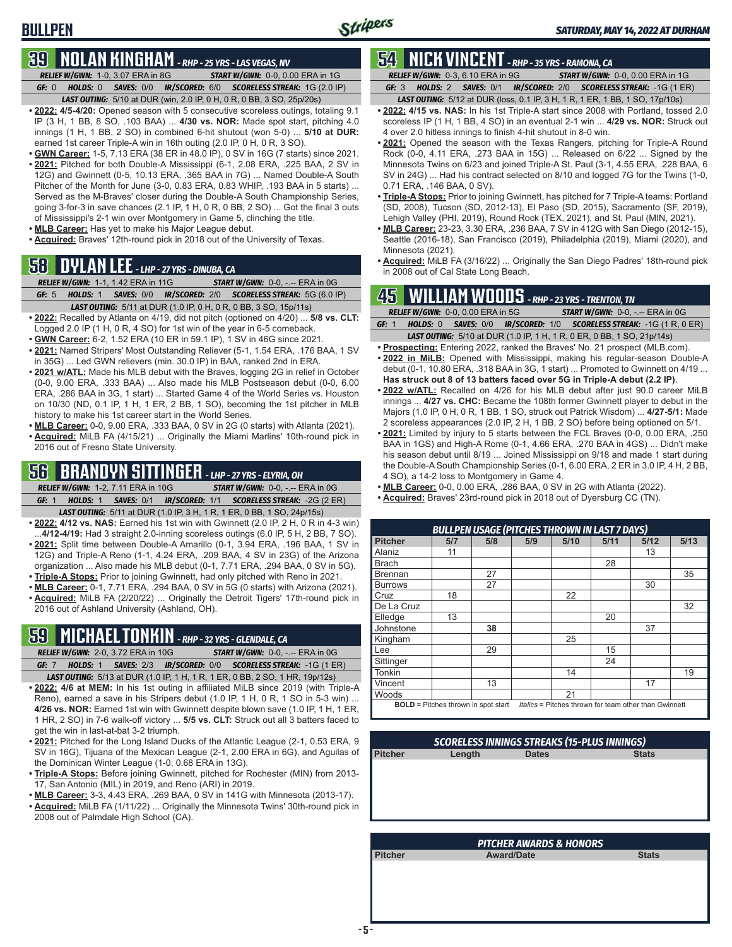# **BULLPEN**

### **39 NOLAN KINGHAM** *- RHP - 25 YRS - LAS VEGAS, NV*

*RELIEF W/GWN:*1-0, 3.07 ERA in 8G *START W/GWN:*0-0, 0.00 ERA in 1G *GF:*0 *HOLDS:*0 *SAVES:*0/0 *IR/SCORED:*6/0 *SCORELESS STREAK:*1G (2.0 IP) *LAST OUTING:*5/10 at DUR (win, 2.0 IP, 0 H, 0 R, 0 BB, 3 SO, 25p/20s)

- **• 2022: 4/5-4/20:** Opened season with 5 consecutive scoreless outings, totaling 9.1 IP (3 H, 1 BB, 8 SO, .103 BAA) ... **4/30 vs. NOR:** Made spot start, pitching 4.0 innings (1 H, 1 BB, 2 SO) in combined 6-hit shutout (won 5-0) ... **5/10 at DUR:** earned 1st career Triple-A win in 16th outing (2.0 IP, 0 H, 0 R, 3 SO).
- **• GWN Career:** 1-5, 7.13 ERA (38 ER in 48.0 IP), 0 SV in 16G (7 starts) since 2021.
- **• 2021:** Pitched for both Double-A Mississippi (6-1, 2.08 ERA, .225 BAA, 2 SV in 12G) and Gwinnett (0-5, 10.13 ERA, .365 BAA in 7G) ... Named Double-A South Pitcher of the Month for June (3-0, 0.83 ERA, 0.83 WHIP, .193 BAA in 5 starts) ... Served as the M-Braves' closer during the Double-A South Championship Series, going 3-for-3 in save chances (2.1 IP, 1 H, 0 R, 0 BB, 2 SO) ... Got the final 3 outs of Mississippi's 2-1 win over Montgomery in Game 5, clinching the title.
- **• MLB Career:** Has yet to make his Major League debut.
- **• Acquired:** Braves' 12th-round pick in 2018 out of the University of Texas.

### **58 DYLAN LEE** *- LHP - 27 YRS - DINUBA, CA*

|      | <b>RELIEF W/GWN: 1-1, 1.42 ERA in 11G</b> | <b>START W/GWN: 0-0, -.-- ERA in 0G</b>                                              |
|------|-------------------------------------------|--------------------------------------------------------------------------------------|
| GF 5 |                                           | <b>HOLDS: 1 SAVES: 0/0 IR/SCORED: 2/0 SCORELESS STREAK: 5G (6.0 IP)</b>              |
|      |                                           | <b>IACT OUTING:</b> $E/11$ at DUD $(1 \cap D \cap H \cap D \cap RP$ 3 SO $15p/11s$ ) |

- **• 2022:** Recalled by Atlanta on 4/19, did not pitch (optioned on 4/20) ... **5/8 vs. CLT:** Logged 2.0 IP (1 H, 0 R, 4 SO) for 1st win of the year in 6-5 comeback.
- **• GWN Career:** 6-2, 1.52 ERA (10 ER in 59.1 IP), 1 SV in 46G since 2021.
- **• 2021:** Named Stripers' Most Outstanding Reliever (5-1, 1.54 ERA, .176 BAA, 1 SV in 35G) ... Led GWN relievers (min. 30.0 IP) in BAA, ranked 2nd in ERA.
- **• 2021 w/ATL:** Made his MLB debut with the Braves, logging 2G in relief in October (0-0, 9.00 ERA, .333 BAA) ... Also made his MLB Postseason debut (0-0, 6.00 ERA, .286 BAA in 3G, 1 start) ... Started Game 4 of the World Series vs. Houston on 10/30 (ND, 0.1 IP, 1 H, 1 ER, 2 BB, 1 SO), becoming the 1st pitcher in MLB history to make his 1st career start in the World Series.
- **• MLB Career:** 0-0, 9.00 ERA, .333 BAA, 0 SV in 2G (0 starts) with Atlanta (2021).
- **• Acquired:** MiLB FA (4/15/21) ... Originally the Miami Marlins' 10th-round pick in 2016 out of Fresno State University.

### **56 BRANDYN SITTINGER** *- LHP - 27 YRS - ELYRIA, OH*

- *RELIEF W/GWN:*1-2, 7.11 ERA in 10G *START W/GWN:*0-0, -.-- ERA in 0G *GF:*1 *HOLDS:*1 *SAVES:*0/1 *IR/SCORED:*1/1 *SCORELESS STREAK:*-2G (2 ER) *LAST OUTING:*5/11 at DUR (1.0 IP, 3 H, 1 R, 1 ER, 0 BB, 1 SO, 24p/15s)
- **• 2022: 4/12 vs. NAS:** Earned his 1st win with Gwinnett (2.0 IP, 2 H, 0 R in 4-3 win) ...**4/12-4/19:** Had 3 straight 2.0-inning scoreless outings (6.0 IP, 5 H, 2 BB, 7 SO).
- **• 2021:** Split time between Double-A Amarillo (0-1, 3.94 ERA, .196 BAA, 1 SV in 12G) and Triple-A Reno (1-1, 4.24 ERA, .209 BAA, 4 SV in 23G) of the Arizona organization ... Also made his MLB debut (0-1, 7.71 ERA, .294 BAA, 0 SV in 5G).
- **• Triple-A Stops:** Prior to joining Gwinnett, had only pitched with Reno in 2021.
- **• MLB Career:** 0-1, 7.71 ERA, .294 BAA, 0 SV in 5G (0 starts) with Arizona (2021). **• Acquired:** MiLB FA (2/20/22) ... Originally the Detroit Tigers' 17th-round pick in 2016 out of Ashland University (Ashland, OH).

### **59 MICHAEL TONKIN** *- RHP - 32 YRS - GLENDALE, CA*

*RELIEF W/GWN:*2-0, 3.72 ERA in 10G *START W/GWN:*0-0, -.-- ERA in 0G *GF:*7 *HOLDS:*1 *SAVES:*2/3 *IR/SCORED:*0/0 *SCORELESS STREAK:*-1G (1 ER)

*LAST OUTING:*5/13 at DUR (1.0 IP, 1 H, 1 R, 1 ER, 0 BB, 2 SO, 1 HR, 19p/12s) **• 2022: 4/6 at MEM:** In his 1st outing in affiliated MiLB since 2019 (with Triple-A Reno), earned a save in his Stripers debut (1.0 IP, 1 H, 0 R, 1 SO in 5-3 win) ... **4/26 vs. NOR:** Earned 1st win with Gwinnett despite blown save (1.0 IP, 1 H, 1 ER, 1 HR, 2 SO) in 7-6 walk-off victory ... **5/5 vs. CLT:** Struck out all 3 batters faced to get the win in last-at-bat 3-2 triumph.

- **• 2021:** Pitched for the Long Island Ducks of the Atlantic League (2-1, 0.53 ERA, 9 SV in 16G), Tijuana of the Mexican League (2-1, 2.00 ERA in 6G), and Aguilas of the Dominican Winter League (1-0, 0.68 ERA in 13G).
- **• Triple-A Stops:** Before joining Gwinnett, pitched for Rochester (MIN) from 2013- 17, San Antonio (MIL) in 2019, and Reno (ARI) in 2019.
- **• MLB Career:** 3-3, 4.43 ERA, .269 BAA, 0 SV in 141G with Minnesota (2013-17).
- **• Acquired:** MiLB FA (1/11/22) ... Originally the Minnesota Twins' 30th-round pick in 2008 out of Palmdale High School (CA).

## **54 NICK VINCENT** *- RHP - 35 YRS - RAMONA, CA*

*RELIEF W/GWN:*0-3, 6.10 ERA in 9G *START W/GWN:*0-0, 0.00 ERA in 1G *GF:*3 *HOLDS:*2 *SAVES:*0/1 *IR/SCORED:*2/0 *SCORELESS STREAK:*-1G (1 ER)

- *LAST OUTING:*5/12 at DUR (loss, 0.1 IP, 3 H, 1 R, 1 ER, 1 BB, 1 SO, 17p/10s)
- **• 2022: 4/15 vs. NAS:** In his 1st Triple-A start since 2008 with Portland, tossed 2.0 scoreless IP (1 H, 1 BB, 4 SO) in an eventual 2-1 win ... **4/29 vs. NOR:** Struck out 4 over 2.0 hitless innings to finish 4-hit shutout in 8-0 win.
- **• 2021:** Opened the season with the Texas Rangers, pitching for Triple-A Round Rock (0-0, 4.11 ERA, .273 BAA in 15G) ... Released on 6/22 ... Signed by the Minnesota Twins on 6/23 and joined Triple-A St. Paul (3-1, 4.55 ERA, .228 BAA, 6 SV in 24G) ... Had his contract selected on 8/10 and logged 7G for the Twins (1-0, 0.71 ERA, .146 BAA, 0 SV).
- **• Triple-A Stops:** Prior to joining Gwinnett, has pitched for 7 Triple-A teams: Portland (SD, 2008), Tucson (SD, 2012-13), El Paso (SD, 2015), Sacramento (SF, 2019), Lehigh Valley (PHI, 2019), Round Rock (TEX, 2021), and St. Paul (MIN, 2021).
- **• MLB Career:** 23-23, 3.30 ERA, .236 BAA, 7 SV in 412G with San Diego (2012-15), Seattle (2016-18), San Francisco (2019), Philadelphia (2019), Miami (2020), and Minnesota (2021).
- **• Acquired:** MiLB FA (3/16/22) ... Originally the San Diego Padres' 18th-round pick in 2008 out of Cal State Long Beach.

# **45 WILLIAM WOODS** *- RHP - 23 YRS - TRENTON, TN*

|       | RELIEF W/GWN: 0-0, 0.00 ERA in 5G |  | <b>START W/GWN: 0-0, -.-- ERA in 0G.</b>                                      |
|-------|-----------------------------------|--|-------------------------------------------------------------------------------|
| GF: 1 |                                   |  | HOLDS: 0 SAVES: 0/0 IR/SCORED: 1/0 SCORELESS STREAK: -1G (1 R, 0 ER)          |
|       |                                   |  | <b>LAST OUTING:</b> 5/10 at DUR (1.0 IP, 1 H, 1 R, 0 ER, 0 BB, 1 SO, 21p/14s) |

- **• Prospecting:** Entering 2022, ranked the Braves' No. 21 prospect (MLB.com). **• 2022 in MiLB:** Opened with Mississippi, making his regular-season Double-A
- debut (0-1, 10.80 ERA, .318 BAA in 3G, 1 start) ... Promoted to Gwinnett on 4/19 ... **Has struck out 8 of 13 batters faced over 5G in Triple-A debut (2.2 IP)**.
- **• 2022 w/ATL:** Recalled on 4/26 for his MLB debut after just 90.0 career MiLB innings ... **4/27 vs. CHC:** Became the 108th former Gwinnett player to debut in the Majors (1.0 IP, 0 H, 0 R, 1 BB, 1 SO, struck out Patrick Wisdom) ... **4/27-5/1:** Made 2 scoreless appearances (2.0 IP, 2 H, 1 BB, 2 SO) before being optioned on 5/1.
- **• 2021:** Limited by injury to 5 starts between the FCL Braves (0-0, 0.00 ERA, .250 BAA in 1GS) and High-A Rome (0-1, 4.66 ERA, .270 BAA in 4GS) ... Didn't make his season debut until 8/19 ... Joined Mississippi on 9/18 and made 1 start during the Double-A South Championship Series (0-1, 6.00 ERA, 2 ER in 3.0 IP, 4 H, 2 BB, 4 SO), a 14-2 loss to Montgomery in Game 4.
- **• MLB Career:** 0-0, 0.00 ERA, .286 BAA, 0 SV in 2G with Atlanta (2022).
- **• Acquired:** Braves' 23rd-round pick in 2018 out of Dyersburg CC (TN).

|                | <b>BULLPEN USAGE (PITCHES THROWN IN LAST 7 DAYS)</b> |     |     |                                                       |      |      |      |  |  |
|----------------|------------------------------------------------------|-----|-----|-------------------------------------------------------|------|------|------|--|--|
| <b>Pitcher</b> | 5/7                                                  | 5/8 | 5/9 | 5/10                                                  | 5/11 | 5/12 | 5/13 |  |  |
| Alaniz         | 11                                                   |     |     |                                                       |      | 13   |      |  |  |
| <b>Brach</b>   |                                                      |     |     |                                                       | 28   |      |      |  |  |
| <b>Brennan</b> |                                                      | 27  |     |                                                       |      |      | 35   |  |  |
| <b>Burrows</b> |                                                      | 27  |     |                                                       |      | 30   |      |  |  |
| Cruz           | 18                                                   |     |     | 22                                                    |      |      |      |  |  |
| De La Cruz     |                                                      |     |     |                                                       |      |      | 32   |  |  |
| Elledge        | 13                                                   |     |     |                                                       | 20   |      |      |  |  |
| Johnstone      |                                                      | 38  |     |                                                       |      | 37   |      |  |  |
| Kingham        |                                                      |     |     | 25                                                    |      |      |      |  |  |
| Lee            |                                                      | 29  |     |                                                       | 15   |      |      |  |  |
| Sittinger      |                                                      |     |     |                                                       | 24   |      |      |  |  |
| Tonkin         |                                                      |     |     | 14                                                    |      |      | 19   |  |  |
| Vincent        |                                                      | 13  |     |                                                       |      | 17   |      |  |  |
| Woods          |                                                      |     |     | 21                                                    |      |      |      |  |  |
|                | <b>BOLD</b> = Pitches thrown in spot start           |     |     | Italics = Pitches thrown for team other than Gwinnett |      |      |      |  |  |

| <b>SCORELESS INNINGS STREAKS (15-PLUS INNINGS)</b> |        |              |              |  |  |  |
|----------------------------------------------------|--------|--------------|--------------|--|--|--|
| <b>Pitcher</b>                                     | Length | <b>Dates</b> | <b>Stats</b> |  |  |  |
|                                                    |        |              |              |  |  |  |
|                                                    |        |              |              |  |  |  |
|                                                    |        |              |              |  |  |  |
|                                                    |        |              |              |  |  |  |
|                                                    |        |              |              |  |  |  |

| <b>PITCHER AWARDS &amp; HONORS</b> |                   |              |  |  |  |  |  |  |
|------------------------------------|-------------------|--------------|--|--|--|--|--|--|
| <b>Pitcher</b>                     | <b>Award/Date</b> | <b>Stats</b> |  |  |  |  |  |  |
|                                    |                   |              |  |  |  |  |  |  |
|                                    |                   |              |  |  |  |  |  |  |
|                                    |                   |              |  |  |  |  |  |  |
|                                    |                   |              |  |  |  |  |  |  |
|                                    |                   |              |  |  |  |  |  |  |

*LAST OUTING:*5/11 at DUR (1.0 IP, 0 H, 0 R, 0 BB, 3 SO, 15p/11s)

- 
-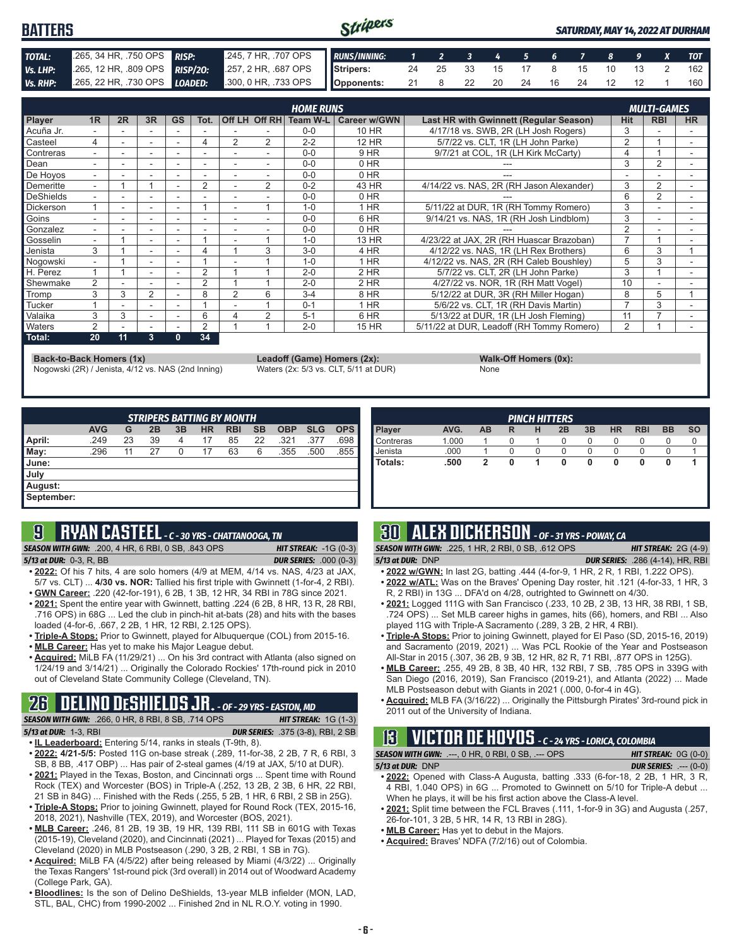#### Stripers **BATTERS** *SATURDAY, MAY 14, 2022 AT DURHAM TOTAL:* .265, 34 HR, .750 OPS *RISP:* .245, 7 HR, .707 OPS *RUNS/INNING: 1 2 3 4 5 6 7 8 9 X TOT Vs. LHP:* .265, 12 HR, .809 OPS *RISP/2O:* .257, 2 HR, .687 OPS **Stripers:** 24 25 33 15 17 8 15 10 13 2 162 *Vs. RHP:* .265, 22 HR, .730 OPS *LOADED:* .300, 0 HR, .733 OPS **Opponents:** 21 8 22 20 24 16 24 12 12 1 160

|                  |                          |    |                          |           |      |                          |                | <b>HOME RUNS</b>         |                     |                                           |            | <b>MULTI-GAMES</b> |           |
|------------------|--------------------------|----|--------------------------|-----------|------|--------------------------|----------------|--------------------------|---------------------|-------------------------------------------|------------|--------------------|-----------|
| Player           | 1R                       | 2R | 3R                       | <b>GS</b> | Tot. |                          |                | Off LH Off RH   Team W-L | <b>Career w/GWN</b> | Last HR with Gwinnett (Regular Season)    | <b>Hit</b> | <b>RBI</b>         | <b>HR</b> |
| Acuña Jr.        |                          |    |                          |           |      |                          |                | $0 - 0$                  | 10 HR               | 4/17/18 vs. SWB, 2R (LH Josh Rogers)      |            |                    |           |
| Casteel          | 4                        |    | $\overline{\phantom{a}}$ |           | 4    | 2                        | 2              | $2 - 2$                  | 12 HR               | 5/7/22 vs. CLT. 1R (LH John Parke)        | 2          |                    |           |
| Contreras        | ۰.                       |    | $\sim$                   |           |      |                          |                | $0 - 0$                  | 9 HR                | 9/7/21 at COL, 1R (LH Kirk McCarty)       |            |                    |           |
| Dean             |                          |    |                          |           |      |                          |                | $0 - 0$                  | $0$ HR              |                                           | 3          | $\overline{2}$     |           |
| De Hovos         | ۰.                       |    | $\overline{\phantom{a}}$ | ۰         | ٠    | $\overline{\phantom{a}}$ |                | $0 - 0$                  | $0$ HR              |                                           |            |                    |           |
| Demeritte        | $\overline{\phantom{0}}$ |    |                          |           | 2    |                          | $\overline{2}$ | $0 - 2$                  | 43 HR               | 4/14/22 vs. NAS, 2R (RH Jason Alexander)  | 3          | 2                  |           |
| DeShields        |                          |    |                          |           |      |                          |                | $0 - 0$                  | 0 HR                |                                           | 6          | $\overline{2}$     |           |
| <b>Dickerson</b> |                          | ۰. | $\overline{\phantom{a}}$ | ۰         |      |                          |                | $1 - 0$                  | $1$ HR              | 5/11/22 at DUR, 1R (RH Tommy Romero)      | 3          |                    |           |
| Goins            |                          |    | $\sim$                   |           |      |                          |                | $0 - 0$                  | 6 HR                | 9/14/21 vs. NAS. 1R (RH Josh Lindblom)    | 3          |                    |           |
| Gonzalez         | $\overline{\phantom{0}}$ |    | $\overline{\phantom{a}}$ | ۰         | ۰    | $\overline{\phantom{a}}$ |                | $0 - 0$                  | 0 HR                |                                           | 2          |                    |           |
| Gosselin         |                          |    |                          |           |      |                          |                | $1 - 0$                  | 13 HR               | 4/23/22 at JAX, 2R (RH Huascar Brazoban)  |            |                    |           |
| Jenista          | 3                        |    |                          |           |      |                          | 3              | $3-0$                    | 4 HR                | 4/12/22 vs. NAS, 1R (LH Rex Brothers)     | 6          | 3                  |           |
| Nogowski         | $\overline{\phantom{0}}$ |    | $\overline{\phantom{a}}$ |           |      |                          |                | $1 - 0$                  | 1 HR                | 4/12/22 vs. NAS, 2R (RH Caleb Boushley)   | 5          | 3                  |           |
| H. Perez         |                          |    | $\overline{\phantom{a}}$ |           | 2    |                          |                | $2 - 0$                  | 2 HR                | 5/7/22 vs. CLT, 2R (LH John Parke)        | 3          |                    |           |
| Shewmake         | 2                        |    |                          |           | 2    |                          |                | $2 - 0$                  | $2$ HR              | 4/27/22 vs. NOR, 1R (RH Matt Vogel)       | 10         |                    |           |
| Tromp            | 3                        | 3  | $\overline{2}$           |           | 8    | 2                        | 6              | $3 - 4$                  | 8 HR                | 5/12/22 at DUR, 3R (RH Miller Hogan)      | 8          | 5                  |           |
| Tucker           |                          |    |                          |           |      |                          |                | $0 - 1$                  | 1 HR                | 5/6/22 vs. CLT, 1R (RH Davis Martin)      |            | 3                  |           |
| Valaika          | 3                        | 3  | $\sim$                   |           | 6    | Δ                        | 2              | $5 - 1$                  | 6 HR                | 5/13/22 at DUR. 1R (LH Josh Fleming)      | 11         |                    |           |
| <b>Naters</b>    | 2                        |    | $\overline{\phantom{a}}$ |           | 2    |                          |                | $2 - 0$                  | 15 HR               | 5/11/22 at DUR, Leadoff (RH Tommy Romero) | 2          |                    |           |
| Total:           | 20                       | 11 | 3                        | 0         | 34   |                          |                |                          |                     |                                           |            |                    |           |

**Back-to-Back Homers (1x) Leadoff (Game) Homers (2x): Walk-Off Homers (0x): Walk-Off Homers (0x): None None Walk-Off Homers (0x): Walk-Off Homers (0x): Walk-Off Homers (0x): Waters (2x: 5/3 vs. CLT, 5/11 at** Nogowski (2R) / Jenista, 4/12 vs. NAS (2nd Inning)

|             | $\frac{1}{2}$ |
|-------------|---------------|
| <b>None</b> |               |

| <b>STRIPERS BATTING BY MONTH</b> |            |    |    |    |           |            |           |            |            |            |
|----------------------------------|------------|----|----|----|-----------|------------|-----------|------------|------------|------------|
|                                  | <b>AVG</b> | G  | 2B | 3B | <b>HR</b> | <b>RBI</b> | <b>SB</b> | <b>OBP</b> | <b>SLG</b> | <b>OPS</b> |
| April:                           | .249       | 23 | 39 | 4  | 17        | 85         | 22        | .321       | .377       | .698       |
| May:                             | .296       | 11 | 27 | 0  | 17        | 63         | 6         | .355       | .500       | .855       |
| I June:                          |            |    |    |    |           |            |           |            |            |            |
| July                             |            |    |    |    |           |            |           |            |            |            |
| August:                          |            |    |    |    |           |            |           |            |            |            |
| September:                       |            |    |    |    |           |            |           |            |            |            |

### **9 RYAN CASTEEL** *- C - 30 YRS - CHATTANOOGA, TN*

*SEASON WITH GWN:*.200, 4 HR, 6 RBI, 0 SB, .843 OPS *HIT STREAK:* -1G (0-3)

*5/13 at DUR:*0-3, R, BB *DUR SERIES:* .000 (0-3)

- **• 2022:** Of his 7 hits, 4 are solo homers (4/9 at MEM, 4/14 vs. NAS, 4/23 at JAX, 5/7 vs. CLT) ... **4/30 vs. NOR:** Tallied his first triple with Gwinnett (1-for-4, 2 RBI). **• GWN Career:** .220 (42-for-191), 6 2B, 1 3B, 12 HR, 34 RBI in 78G since 2021.
- **• 2021:** Spent the entire year with Gwinnett, batting .224 (6 2B, 8 HR, 13 R, 28 RBI, .716 OPS) in 68G ... Led the club in pinch-hit at-bats (28) and hits with the bases
- loaded (4-for-6, .667, 2 2B, 1 HR, 12 RBI, 2.125 OPS). **• Triple-A Stops:** Prior to Gwinnett, played for Albuquerque (COL) from 2015-16.
- **• MLB Career:** Has yet to make his Major League debut.
- **• Acquired:** MiLB FA (11/29/21) ... On his 3rd contract with Atlanta (also signed on 1/24/19 and 3/14/21) ... Originally the Colorado Rockies' 17th-round pick in 2010 out of Cleveland State Community College (Cleveland, TN).

# **26 DELINO DESHIELDS JR.** *- OF - 29 YRS - EASTON, MD*

| <b>SEASON WITH GWN:</b> .266, 0 HR, 8 RBI, 8 SB, .714 OPS | <b>HIT STREAK:</b> $1G(1-3)$             |
|-----------------------------------------------------------|------------------------------------------|
| 5/13 at DUR: 1-3, RBI                                     | <b>DUR SERIES:</b> .375 (3-8), RBI, 2 SB |
|                                                           |                                          |

- **• IL Leaderboard:** Entering 5/14, ranks in steals (T-9th, 8). **• 2022: 4/21-5/5:** Posted 11G on-base streak (.289, 11-for-38, 2 2B, 7 R, 6 RBI, 3
- SB, 8 BB, .417 OBP) ... Has pair of 2-steal games (4/19 at JAX, 5/10 at DUR). **• 2021:** Played in the Texas, Boston, and Cincinnati orgs ... Spent time with Round
- Rock (TEX) and Worcester (BOS) in Triple-A (.252, 13 2B, 2 3B, 6 HR, 22 RBI, 21 SB in 84G) ... Finished with the Reds (.255, 5 2B, 1 HR, 6 RBI, 2 SB in 25G).
- **• Triple-A Stops:** Prior to joining Gwinnett, played for Round Rock (TEX, 2015-16, 2018, 2021), Nashville (TEX, 2019), and Worcester (BOS, 2021).
- **• MLB Career:** .246, 81 2B, 19 3B, 19 HR, 139 RBI, 111 SB in 601G with Texas (2015-19), Cleveland (2020), and Cincinnati (2021) ... Played for Texas (2015) and Cleveland (2020) in MLB Postseason (.290, 3 2B, 2 RBI, 1 SB in 7G).
- **• Acquired:** MiLB FA (4/5/22) after being released by Miami (4/3/22) ... Originally the Texas Rangers' 1st-round pick (3rd overall) in 2014 out of Woodward Academy (College Park, GA).
- **• Bloodlines:** Is the son of Delino DeShields, 13-year MLB infielder (MON, LAD, STL, BAL, CHC) from 1990-2002 ... Finished 2nd in NL R.O.Y. voting in 1990.

| <b>PINCH HITTERS</b> |       |           |   |   |    |    |           |            |           |           |
|----------------------|-------|-----------|---|---|----|----|-----------|------------|-----------|-----------|
| Player               | AVG.  | <b>AB</b> | R | н | 2B | 3B | <b>HR</b> | <b>RBI</b> | <b>BB</b> | <b>SO</b> |
| Contreras            | 1.000 |           |   |   | 0  | O  | $\Omega$  |            |           |           |
| Jenista              | .000  |           |   |   | 0  |    | 0         |            |           |           |
| Totals:              | .500  |           |   |   | 0  | 0  | 0         | 0          | O         |           |
|                      |       |           |   |   |    |    |           |            |           |           |
|                      |       |           |   |   |    |    |           |            |           |           |

# **30 ALEX DICKERSON** *- OF - 31 YRS - POWAY, CA*

*SEASON WITH GWN:*.225, 1 HR, 2 RBI, 0 SB, .612 OPS *HIT STREAK:* 2G (4-9)

- 
- *5/13 at DUR:*DNP *DUR SERIES:* .286 (4-14), HR, RBI **• 2022 w/GWN:** In last 2G, batting .444 (4-for-9, 1 HR, 2 R, 1 RBI, 1.222 OPS).
- **• 2022 w/ATL:** Was on the Braves' Opening Day roster, hit .121 (4-for-33, 1 HR, 3 R, 2 RBI) in 13G ... DFA'd on 4/28, outrighted to Gwinnett on 4/30.
- **• 2021:** Logged 111G with San Francisco (.233, 10 2B, 2 3B, 13 HR, 38 RBI, 1 SB, .724 OPS) ... Set MLB career highs in games, hits (66), homers, and RBI ... Also played 11G with Triple-A Sacramento (.289, 3 2B, 2 HR, 4 RBI).
- **• Triple-A Stops:** Prior to joining Gwinnett, played for El Paso (SD, 2015-16, 2019) and Sacramento (2019, 2021) ... Was PCL Rookie of the Year and Postseason All-Star in 2015 (.307, 36 2B, 9 3B, 12 HR, 82 R, 71 RBI, .877 OPS in 125G).
- **• MLB Career:** .255, 49 2B, 8 3B, 40 HR, 132 RBI, 7 SB, .785 OPS in 339G with San Diego (2016, 2019), San Francisco (2019-21), and Atlanta (2022) ... Made MLB Postseason debut with Giants in 2021 (.000, 0-for-4 in 4G).
- **• Acquired:** MLB FA (3/16/22) ... Originally the Pittsburgh Pirates' 3rd-round pick in 2011 out of the University of Indiana.

# **13 VICTOR DE HOYOS** *- C - 24 YRS - LORICA, COLOMBIA*

| <b>SEASON WITH GWN: .---, 0 HR, 0 RBI, 0 SB, .--- OPS</b> | <b>HIT STREAK:</b> $OG(0-0)$  |
|-----------------------------------------------------------|-------------------------------|
| 5/13 at DUR: DNP                                          | <b>DUR SERIES:</b> $---(0-0)$ |

- **• 2022:** Opened with Class-A Augusta, batting .333 (6-for-18, 2 2B, 1 HR, 3 R, 4 RBI, 1.040 OPS) in 6G ... Promoted to Gwinnett on 5/10 for Triple-A debut ... When he plays, it will be his first action above the Class-A level.
- **• 2021:** Split time between the FCL Braves (.111, 1-for-9 in 3G) and Augusta (.257, 26-for-101, 3 2B, 5 HR, 14 R, 13 RBI in 28G).
- **• MLB Career:** Has yet to debut in the Majors.
- **• Acquired:** Braves' NDFA (7/2/16) out of Colombia.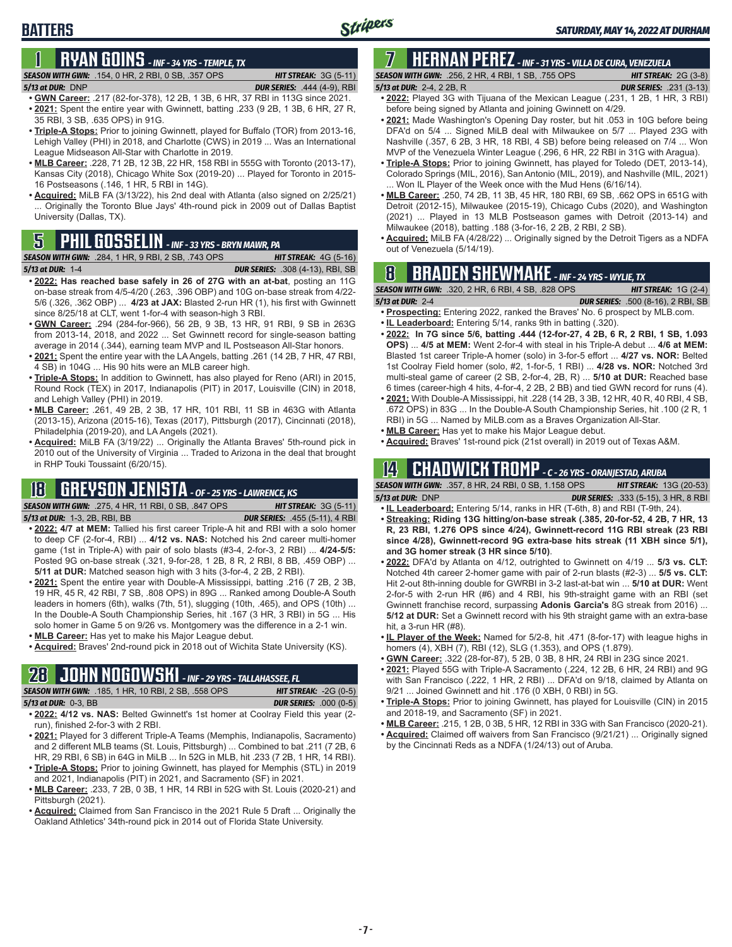# **BATTERS**

### **1 RYAN GOINS** *- INF - 34 YRS - TEMPLE, TX SEASON WITH GWN:*.154, 0 HR, 2 RBI, 0 SB, .357 OPS *HIT STREAK:* 3G (5-11)

- *5/13 at DUR:*DNP *DUR SERIES:* .444 (4-9), RBI **• GWN Career:** .217 (82-for-378), 12 2B, 1 3B, 6 HR, 37 RBI in 113G since 2021.
- **• 2021:** Spent the entire year with Gwinnett, batting .233 (9 2B, 1 3B, 6 HR, 27 R, 35 RBI, 3 SB, .635 OPS) in 91G.
- **• Triple-A Stops:** Prior to joining Gwinnett, played for Buffalo (TOR) from 2013-16, Lehigh Valley (PHI) in 2018, and Charlotte (CWS) in 2019 ... Was an International League Midseason All-Star with Charlotte in 2019.
- **• MLB Career:** .228, 71 2B, 12 3B, 22 HR, 158 RBI in 555G with Toronto (2013-17), Kansas City (2018), Chicago White Sox (2019-20) ... Played for Toronto in 2015- 16 Postseasons (.146, 1 HR, 5 RBI in 14G).
- **• Acquired:** MiLB FA (3/13/22), his 2nd deal with Atlanta (also signed on 2/25/21) ... Originally the Toronto Blue Jays' 4th-round pick in 2009 out of Dallas Baptist University (Dallas, TX).

**SEASON WITH GWN:** .284, 1 HR, 9 RBI, 2 SB, .743 OPS *5/13 at DUR:*1-4 *DUR SERIES:* .308 (4-13), RBI, SB

- **• 2022: Has reached base safely in 26 of 27G with an at-bat**, posting an 11G on-base streak from 4/5-4/20 (.263, .396 OBP) and 10G on-base streak from 4/22- 5/6 (.326, .362 OBP) ... **4/23 at JAX:** Blasted 2-run HR (1), his first with Gwinnett since 8/25/18 at CLT, went 1-for-4 with season-high 3 RBI.
- **• GWN Career:** .294 (284-for-966), 56 2B, 9 3B, 13 HR, 91 RBI, 9 SB in 263G from 2013-14, 2018, and 2022 ... Set Gwinnett record for single-season batting average in 2014 (.344), earning team MVP and IL Postseason All-Star honors.
- **• 2021:** Spent the entire year with the LA Angels, batting .261 (14 2B, 7 HR, 47 RBI, 4 SB) in 104G ... His 90 hits were an MLB career high.
- **• Triple-A Stops:** In addition to Gwinnett, has also played for Reno (ARI) in 2015, Round Rock (TEX) in 2017, Indianapolis (PIT) in 2017, Louisville (CIN) in 2018, and Lehigh Valley (PHI) in 2019.
- **• MLB Career:** .261, 49 2B, 2 3B, 17 HR, 101 RBI, 11 SB in 463G with Atlanta (2013-15), Arizona (2015-16), Texas (2017), Pittsburgh (2017), Cincinnati (2018), Philadelphia (2019-20), and LA Angels (2021).
- **• Acquired:** MiLB FA (3/19/22) ... Originally the Atlanta Braves' 5th-round pick in 2010 out of the University of Virginia ... Traded to Arizona in the deal that brought in RHP Touki Toussaint (6/20/15).

# **18 GREYSON JENISTA** *- OF - 25 YRS - LAWRENCE, KS*

*SEASON WITH GWN:*.275, 4 HR, 11 RBI, 0 SB, .847 OPS *HIT STREAK:* 3G (5-11)

- *5/13 at DUR:*1-3, 2B, RBI, BB *DUR SERIES:* .455 (5-11), 4 RBI
- **• 2022: 4/7 at MEM:** Tallied his first career Triple-A hit and RBI with a solo homer to deep CF (2-for-4, RBI) ... **4/12 vs. NAS:** Notched his 2nd career multi-homer game (1st in Triple-A) with pair of solo blasts (#3-4, 2-for-3, 2 RBI) ... **4/24-5/5:**  Posted 9G on-base streak (.321, 9-for-28, 1 2B, 8 R, 2 RBI, 8 BB, .459 OBP) ... **5/11 at DUR:** Matched season high with 3 hits (3-for-4, 2 2B, 2 RBI).
- **• 2021:** Spent the entire year with Double-A Mississippi, batting .216 (7 2B, 2 3B, 19 HR, 45 R, 42 RBI, 7 SB, .808 OPS) in 89G ... Ranked among Double-A South leaders in homers (6th), walks (7th, 51), slugging (10th, .465), and OPS (10th) ... In the Double-A South Championship Series, hit .167 (3 HR, 3 RBI) in 5G ... His solo homer in Game 5 on 9/26 vs. Montgomery was the difference in a 2-1 win.
- **• MLB Career:** Has yet to make his Major League debut.
- **• Acquired:** Braves' 2nd-round pick in 2018 out of Wichita State University (KS).

# **28 JOHN NOGOWSKI** *- INF - 29 YRS - TALLAHASSEE, FL*

| <b>SEASON WITH GWN:</b> .185, 1 HR, 10 RBI, 2 SB, .558 OPS | <b>HIT STREAK:</b> $-2G(0-5)$ |
|------------------------------------------------------------|-------------------------------|
| <b>5/13 at DUR: 0-3. BB</b>                                | <b>DUR SERIES:</b> .000 (0-5) |
|                                                            |                               |

- **• 2022: 4/12 vs. NAS:** Belted Gwinnett's 1st homer at Coolray Field this year (2 run), finished 2-for-3 with 2 RBI.
- **• 2021:** Played for 3 different Triple-A Teams (Memphis, Indianapolis, Sacramento) and 2 different MLB teams (St. Louis, Pittsburgh) ... Combined to bat .211 (7 2B, 6 HR, 29 RBI, 6 SB) in 64G in MiLB ... In 52G in MLB, hit .233 (7 2B, 1 HR, 14 RBI).
- **• Triple-A Stops:** Prior to joining Gwinnett, has played for Memphis (STL) in 2019 and 2021, Indianapolis (PIT) in 2021, and Sacramento (SF) in 2021.
- **• MLB Career:** .233, 7 2B, 0 3B, 1 HR, 14 RBI in 52G with St. Louis (2020-21) and Pittsburgh (2021).
- **• Acquired:** Claimed from San Francisco in the 2021 Rule 5 Draft ... Originally the Oakland Athletics' 34th-round pick in 2014 out of Florida State University.

# **7 HERNAN PEREZ** *- INF - 31 YRS - VILLA DE CURA, VENEZUELA*

*SEASON WITH GWN:*.256, 2 HR, 4 RBI, 1 SB, .755 OPS *HIT STREAK:* 2G (3-8) *5/13 at DUR:*2-4, 2 2B, R *DUR SERIES:* .231 (3-13)

- **• 2022:** Played 3G with Tijuana of the Mexican League (.231, 1 2B, 1 HR, 3 RBI) before being signed by Atlanta and joining Gwinnett on 4/29.
- **• 2021:** Made Washington's Opening Day roster, but hit .053 in 10G before being DFA'd on 5/4 ... Signed MiLB deal with Milwaukee on 5/7 ... Played 23G with Nashville (.357, 6 2B, 3 HR, 18 RBI, 4 SB) before being released on 7/4 ... Won MVP of the Venezuela Winter League (.296, 6 HR, 22 RBI in 31G with Aragua).
- **• Triple-A Stops:** Prior to joining Gwinnett, has played for Toledo (DET, 2013-14), Colorado Springs (MIL, 2016), San Antonio (MIL, 2019), and Nashville (MIL, 2021) ... Won IL Player of the Week once with the Mud Hens (6/16/14).
- **• MLB Career:** .250, 74 2B, 11 3B, 45 HR, 180 RBI, 69 SB, .662 OPS in 651G with Detroit (2012-15), Milwaukee (2015-19), Chicago Cubs (2020), and Washington (2021) ... Played in 13 MLB Postseason games with Detroit (2013-14) and Milwaukee (2018), batting .188 (3-for-16, 2 2B, 2 RBI, 2 SB).
- **• Acquired:** MiLB FA (4/28/22) ... Originally signed by the Detroit Tigers as a NDFA **5** out of Venezuela (5/14/19). **PHIL GOSSELIN**  *INF 33 YRS BRYN MAWR, PA*

# **8 BRADEN SHEWMAKE** *- INF - 24 YRS - WYLIE, TX*

*SEASON WITH GWN:*.320, 2 HR, 6 RBI, 4 SB, .828 OPS *HIT STREAK:* 1G (2-4)

- *5/13 at DUR:*2-4 *DUR SERIES:* .500 (8-16), 2 RBI, SB **• Prospecting:** Entering 2022, ranked the Braves' No. 6 prospect by MLB.com.
- **• IL Leaderboard:** Entering 5/14, ranks 9th in batting (.320).
- **• 2022: In 7G since 5/6, batting .444 (12-for-27, 4 2B, 6 R, 2 RBI, 1 SB, 1.093 OPS)** ... **4/5 at MEM:** Went 2-for-4 with steal in his Triple-A debut ... **4/6 at MEM:**  Blasted 1st career Triple-A homer (solo) in 3-for-5 effort ... **4/27 vs. NOR:** Belted 1st Coolray Field homer (solo, #2, 1-for-5, 1 RBI) ... **4/28 vs. NOR:** Notched 3rd multi-steal game of career (2 SB, 2-for-4, 2B, R) ... **5/10 at DUR:** Reached base 6 times (career-high 4 hits, 4-for-4, 2 2B, 2 BB) and tied GWN record for runs (4).
- **• 2021:** With Double-A Mississippi, hit .228 (14 2B, 3 3B, 12 HR, 40 R, 40 RBI, 4 SB, .672 OPS) in 83G ... In the Double-A South Championship Series, hit .100 (2 R, 1 RBI) in 5G ... Named by MiLB.com as a Braves Organization All-Star.
- **• MLB Career:** Has yet to make his Major League debut.
- **• Acquired:** Braves' 1st-round pick (21st overall) in 2019 out of Texas A&M.

### **14 CHADWICK TROMP** *- C - 26 YRS - ORANJESTAD, ARUBA*

*SEASON WITH GWN:*.357, 8 HR, 24 RBI, 0 SB, 1.158 OPS *HIT STREAK:* 13G (20-53) *5/13 at DUR:*DNP *DUR SERIES:* .333 (5-15), 3 HR, 8 RBI

- **• IL Leaderboard:** Entering 5/14, ranks in HR (T-6th, 8) and RBI (T-9th, 24). **• Streaking: Riding 13G hitting/on-base streak (.385, 20-for-52, 4 2B, 7 HR, 13**
- **R, 23 RBI, 1.276 OPS since 4/24), Gwinnett-record 11G RBI streak (23 RBI since 4/28), Gwinnett-record 9G extra-base hits streak (11 XBH since 5/1), and 3G homer streak (3 HR since 5/10)**.
- **• 2022:** DFA'd by Atlanta on 4/12, outrighted to Gwinnett on 4/19 ... **5/3 vs. CLT:** Notched 4th career 2-homer game with pair of 2-run blasts (#2-3) ... **5/5 vs. CLT:** Hit 2-out 8th-inning double for GWRBI in 3-2 last-at-bat win ... **5/10 at DUR:** Went 2-for-5 with 2-run HR (#6) and 4 RBI, his 9th-straight game with an RBI (set Gwinnett franchise record, surpassing **Adonis Garcia's** 8G streak from 2016) ... **5/12 at DUR:** Set a Gwinnett record with his 9th straight game with an extra-base hit, a 3-run HR (#8).
- **• IL Player of the Week:** Named for 5/2-8, hit .471 (8-for-17) with league highs in homers (4), XBH (7), RBI (12), SLG (1.353), and OPS (1.879).
- **• GWN Career:** .322 (28-for-87), 5 2B, 0 3B, 8 HR, 24 RBI in 23G since 2021.
- **• 2021:** Played 55G with Triple-A Sacramento (.224, 12 2B, 6 HR, 24 RBI) and 9G with San Francisco (.222, 1 HR, 2 RBI) ... DFA'd on 9/18, claimed by Atlanta on 9/21 ... Joined Gwinnett and hit .176 (0 XBH, 0 RBI) in 5G.
- **• Triple-A Stops:** Prior to joining Gwinnett, has played for Louisville (CIN) in 2015 and 2018-19, and Sacramento (SF) in 2021.
- **• MLB Career:** .215, 1 2B, 0 3B, 5 HR, 12 RBI in 33G with San Francisco (2020-21).
- **• Acquired:** Claimed off waivers from San Francisco (9/21/21) ... Originally signed by the Cincinnati Reds as a NDFA (1/24/13) out of Aruba.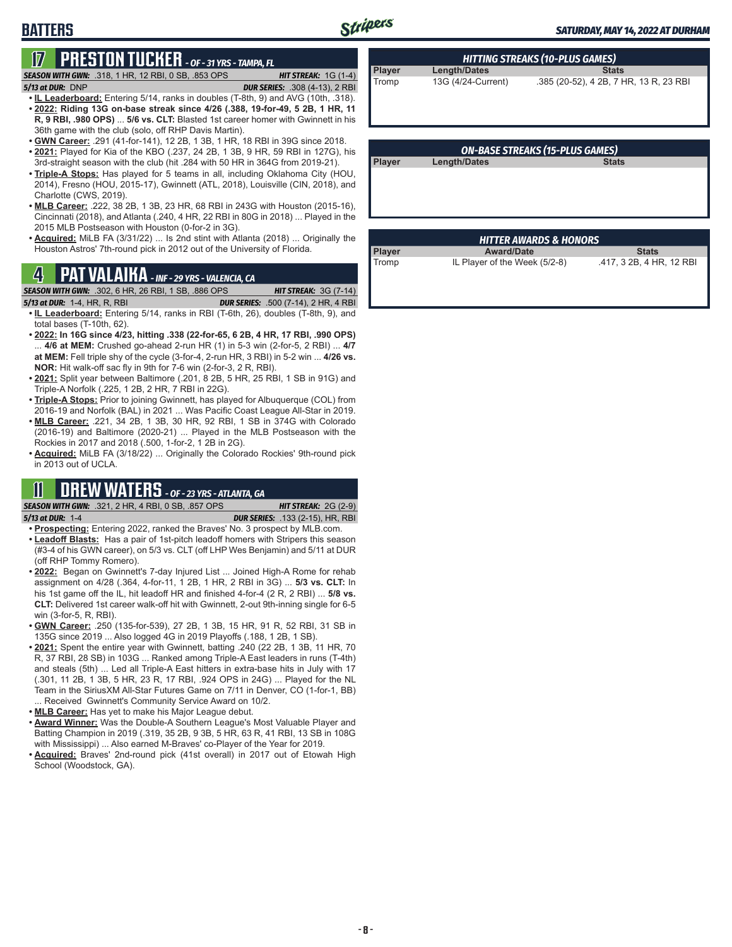# **BATTERS**

# **17 PRESTON TUCKER** *- OF - 31 YRS - TAMPA, FL*

*SEASON WITH GWN:*.318, 1 HR, 12 RBI, 0 SB, .853 OPS *HIT STREAK:* 1G (1-4)

*5/13 at DUR:*DNP *DUR SERIES:* .308 (4-13), 2 RBI

- **• IL Leaderboard:** Entering 5/14, ranks in doubles (T-8th, 9) and AVG (10th, .318). **• 2022: Riding 13G on-base streak since 4/26 (.388, 19-for-49, 5 2B, 1 HR, 11 R, 9 RBI, .980 OPS)** ... **5/6 vs. CLT:** Blasted 1st career homer with Gwinnett in his 36th game with the club (solo, off RHP Davis Martin).
- **• GWN Career:** .291 (41-for-141), 12 2B, 1 3B, 1 HR, 18 RBI in 39G since 2018.
- **• 2021:** Played for Kia of the KBO (.237, 24 2B, 1 3B, 9 HR, 59 RBI in 127G), his 3rd-straight season with the club (hit .284 with 50 HR in 364G from 2019-21).
- **• Triple-A Stops:** Has played for 5 teams in all, including Oklahoma City (HOU, 2014), Fresno (HOU, 2015-17), Gwinnett (ATL, 2018), Louisville (CIN, 2018), and Charlotte (CWS, 2019).
- **• MLB Career:** .222, 38 2B, 1 3B, 23 HR, 68 RBI in 243G with Houston (2015-16), Cincinnati (2018), and Atlanta (.240, 4 HR, 22 RBI in 80G in 2018) ... Played in the 2015 MLB Postseason with Houston (0-for-2 in 3G).
- **• Acquired:** MiLB FA (3/31/22) ... Is 2nd stint with Atlanta (2018) ... Originally the Houston Astros' 7th-round pick in 2012 out of the University of Florida.

### **4 PAT VALAIKA** *- INF - 29 YRS - VALENCIA, CA*

*SEASON WITH GWN:*.302, 6 HR, 26 RBI, 1 SB, .886 OPS *HIT STREAK:* 3G (7-14)

- *5/13 at DUR:*1-4, HR, R, RBI *DUR SERIES:* .500 (7-14), 2 HR, 4 RBI
- **• IL Leaderboard:** Entering 5/14, ranks in RBI (T-6th, 26), doubles (T-8th, 9), and total bases (T-10th, 62).
- **• 2022: In 16G since 4/23, hitting .338 (22-for-65, 6 2B, 4 HR, 17 RBI, .990 OPS)** ... **4/6 at MEM:** Crushed go-ahead 2-run HR (1) in 5-3 win (2-for-5, 2 RBI) ... **4/7 at MEM:** Fell triple shy of the cycle (3-for-4, 2-run HR, 3 RBI) in 5-2 win ... **4/26 vs. NOR:** Hit walk-off sac fly in 9th for 7-6 win (2-for-3, 2 R, RBI).
- **• 2021:** Split year between Baltimore (.201, 8 2B, 5 HR, 25 RBI, 1 SB in 91G) and Triple-A Norfolk (.225, 1 2B, 2 HR, 7 RBI in 22G).
- **• Triple-A Stops:** Prior to joining Gwinnett, has played for Albuquerque (COL) from 2016-19 and Norfolk (BAL) in 2021 ... Was Pacific Coast League All-Star in 2019.
- **• MLB Career:** .221, 34 2B, 1 3B, 30 HR, 92 RBI, 1 SB in 374G with Colorado (2016-19) and Baltimore (2020-21) ... Played in the MLB Postseason with the Rockies in 2017 and 2018 (.500, 1-for-2, 1 2B in 2G).
- **• Acquired:** MiLB FA (3/18/22) ... Originally the Colorado Rockies' 9th-round pick in 2013 out of UCLA.

# **11 DREW WATERS** *- OF - 23 YRS - ATLANTA, GA*

*SEASON WITH GWN:*.321, 2 HR, 4 RBI, 0 SB, .857 OPS *HIT STREAK:* 2G (2-9) *5/13 at DUR:*1-4 *DUR SERIES:* .133 (2-15), HR, RBI

- **• Prospecting:** Entering 2022, ranked the Braves' No. 3 prospect by MLB.com. **• Leadoff Blasts:** Has a pair of 1st-pitch leadoff homers with Stripers this season (#3-4 of his GWN career), on 5/3 vs. CLT (off LHP Wes Benjamin) and 5/11 at DUR (off RHP Tommy Romero).
- **• 2022:** Began on Gwinnett's 7-day Injured List ... Joined High-A Rome for rehab assignment on 4/28 (.364, 4-for-11, 1 2B, 1 HR, 2 RBI in 3G) ... **5/3 vs. CLT:** In his 1st game off the IL, hit leadoff HR and finished 4-for-4 (2 R, 2 RBI) ... **5/8 vs. CLT:** Delivered 1st career walk-off hit with Gwinnett, 2-out 9th-inning single for 6-5 win (3-for-5, R, RBI).
- **• GWN Career:** .250 (135-for-539), 27 2B, 1 3B, 15 HR, 91 R, 52 RBI, 31 SB in 135G since 2019 ... Also logged 4G in 2019 Playoffs (.188, 1 2B, 1 SB).
- **• 2021:** Spent the entire year with Gwinnett, batting .240 (22 2B, 1 3B, 11 HR, 70 R, 37 RBI, 28 SB) in 103G ... Ranked among Triple-A East leaders in runs (T-4th) and steals (5th) ... Led all Triple-A East hitters in extra-base hits in July with 17 (.301, 11 2B, 1 3B, 5 HR, 23 R, 17 RBI, .924 OPS in 24G) ... Played for the NL Team in the SiriusXM All-Star Futures Game on 7/11 in Denver, CO (1-for-1, BB) ... Received Gwinnett's Community Service Award on 10/2.
- **• MLB Career:** Has yet to make his Major League debut.
- **• Award Winner:** Was the Double-A Southern League's Most Valuable Player and Batting Champion in 2019 (.319, 35 2B, 9 3B, 5 HR, 63 R, 41 RBI, 13 SB in 108G with Mississippi) ... Also earned M-Braves' co-Player of the Year for 2019.
- **• Acquired:** Braves' 2nd-round pick (41st overall) in 2017 out of Etowah High School (Woodstock, GA).

| HITTING STREAKS (10-PLUS GAMES) |                     |                                        |  |  |  |  |
|---------------------------------|---------------------|----------------------------------------|--|--|--|--|
| Player                          | <b>Length/Dates</b> | <b>Stats</b>                           |  |  |  |  |
| Tromp                           | 13G (4/24-Current)  | .385 (20-52), 4 2B, 7 HR, 13 R, 23 RBI |  |  |  |  |

| <b>ON-BASE STREAKS (15-PLUS GAMES)</b> |                     |              |  |
|----------------------------------------|---------------------|--------------|--|
| <b>Player</b>                          | <b>Length/Dates</b> | <b>Stats</b> |  |
|                                        |                     |              |  |
|                                        |                     |              |  |
|                                        |                     |              |  |

| <b>HITTER AWARDS &amp; HONORS</b> |                               |                          |  |
|-----------------------------------|-------------------------------|--------------------------|--|
| <b>Player</b>                     | <b>Award/Date</b>             | <b>Stats</b>             |  |
| Tromp                             | IL Player of the Week (5/2-8) | .417, 3 2B, 4 HR, 12 RBI |  |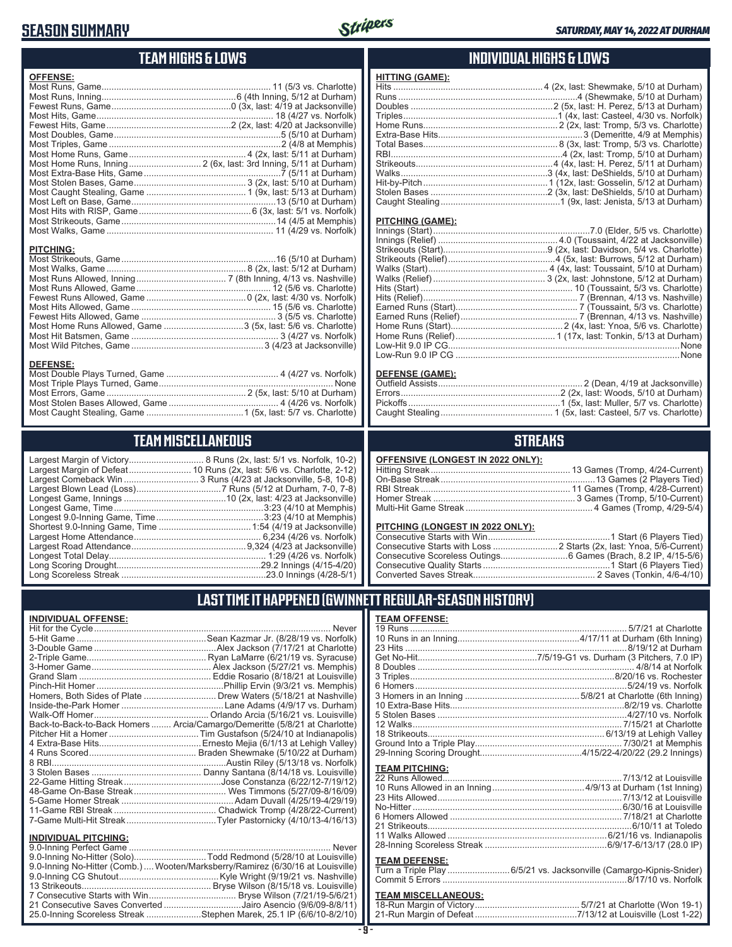### **SEASON SUMMARY**



### **TEAM HIGHS & LOWS**

| <b>OFFENSE:</b>  |  |
|------------------|--|
|                  |  |
|                  |  |
|                  |  |
|                  |  |
|                  |  |
|                  |  |
|                  |  |
|                  |  |
|                  |  |
|                  |  |
|                  |  |
|                  |  |
|                  |  |
|                  |  |
|                  |  |
|                  |  |
| <b>PITCHING:</b> |  |

| . |  |
|---|--|
|   |  |
|   |  |
|   |  |
|   |  |
|   |  |
|   |  |
|   |  |
|   |  |
|   |  |
|   |  |
|   |  |

#### **DEFENSE:**

### **TEAM MISCELLANEOUS**

| Largest Margin of Victory      |
|--------------------------------|
| Largest Margin of Defeat       |
| Largest Comeback Win           |
| Largest Blown Lead (Loss)      |
| Longest Game, Innings          |
| Longest Game, Time             |
| Longest 9.0-Inning Game, Time. |
| Shortest 9.0-Inning Game, Time |
| Largest Home Attendance        |
| Largest Road Attendance        |
| Longest Total Delay            |
| Long Scoring Drought           |
| Long Scoreless Streak          |

Largest Margin of Victory.............................. 8 Runs (2x, last: 5/1 vs. Norfolk, 10-2) .............. 10 Runs (2x, last: 5/6 vs. Charlotte, 2-12) Largest Comeback Win .............................. 3 Runs (4/23 at Jacksonville, 5-8, 10-8) Largest Blown Lead (Loss) ..................................7 Runs (5/12 at Durham, 7-0, 7-8) ...............................10 (2x, ُlast: 4/23 at Jacksonville) Longest Game, Time ............................................................3:23 (4/10 at Memphis) Longest 9.0-Inning Game, Time ...........................................3:23 (4/10 at Memphis) Shortest 9.0-Inning Game, Time .....................................1:54 (4/19 at Jacksonville) Largest Home Attendance ................................................... 6,234 (4/26 vs. Norfolk) Largest Road Attendance ..............................................9,324 (4/23 at Jacksonville) Longest Total Delay............................................................... 1:29 (4/26 vs. Norfolk) Long Scoring Drought..........................................................29.2 Innings (4/15-4/20) Long Scoreless Streak ..........................................................23.0 Innings (4/28-5/1)

### **INDIVIDUAL HIGHS & LOWS**

| HITTING (GAME): |  |
|-----------------|--|
|                 |  |
|                 |  |
|                 |  |
|                 |  |
|                 |  |
|                 |  |
|                 |  |
|                 |  |
|                 |  |
|                 |  |
|                 |  |
|                 |  |
|                 |  |
|                 |  |

### **PITCHING (GAME):**

| None |
|------|
|      |

#### **DEFENSE (GAME):**

### **STREAKS**

| <b>OFFENSIVE (LONGEST IN 2022 ONLY):</b> |  |  |
|------------------------------------------|--|--|
|                                          |  |  |

### **PITCHING (LONGEST IN 2022 ONLY):**

### **LAST TIME IT HAPPENED (GWINNETT REGULAR-SEASON HISTORY)**

### **TEAM OFFENSE:**

| <b>TEAM PITCHING:</b>        |                                                                     |
|------------------------------|---------------------------------------------------------------------|
|                              |                                                                     |
|                              |                                                                     |
|                              |                                                                     |
|                              |                                                                     |
|                              |                                                                     |
|                              |                                                                     |
|                              |                                                                     |
|                              |                                                                     |
|                              |                                                                     |
| <b>TEAM DEFENSE:</b>         |                                                                     |
|                              | Turn a Triple Play  6/5/21 vs. Jacksonville (Camargo-Kipnis-Snider) |
|                              |                                                                     |
|                              |                                                                     |
| <b>TEAM MISCELL ANEOLIS:</b> |                                                                     |

### **TEAM MISCELLANEOUS:**

| Sean Kazmar Jr. (8/28/19 vs. Norfolk).                                     |
|----------------------------------------------------------------------------|
|                                                                            |
|                                                                            |
|                                                                            |
|                                                                            |
|                                                                            |
| Homers, Both Sides of Plate  Drew Waters (5/18/21 at Nashville)            |
|                                                                            |
|                                                                            |
| Back-to-Back-to-Back Homers  Arcia/Camargo/Demeritte (5/8/21 at Charlotte) |
|                                                                            |
|                                                                            |
|                                                                            |
|                                                                            |
|                                                                            |
|                                                                            |
|                                                                            |
|                                                                            |
|                                                                            |
|                                                                            |
|                                                                            |

### **INDIVIDUAL PITCHING:**

| 9.0-Inning No-Hitter (Solo)Todd Redmond (5/28/10 at Louisville)                 |  |
|---------------------------------------------------------------------------------|--|
| 9.0-Inning No-Hitter (Comb.)  Wooten/Marksberry/Ramirez (6/30/16 at Louisville) |  |
|                                                                                 |  |
|                                                                                 |  |
|                                                                                 |  |
| 21 Consecutive Saves Converted Jairo Asencio (9/6/09-8/8/11)                    |  |
| 25.0-Inning Scoreless Streak Stephen Marek, 25.1 IP (6/6/10-8/2/10)             |  |